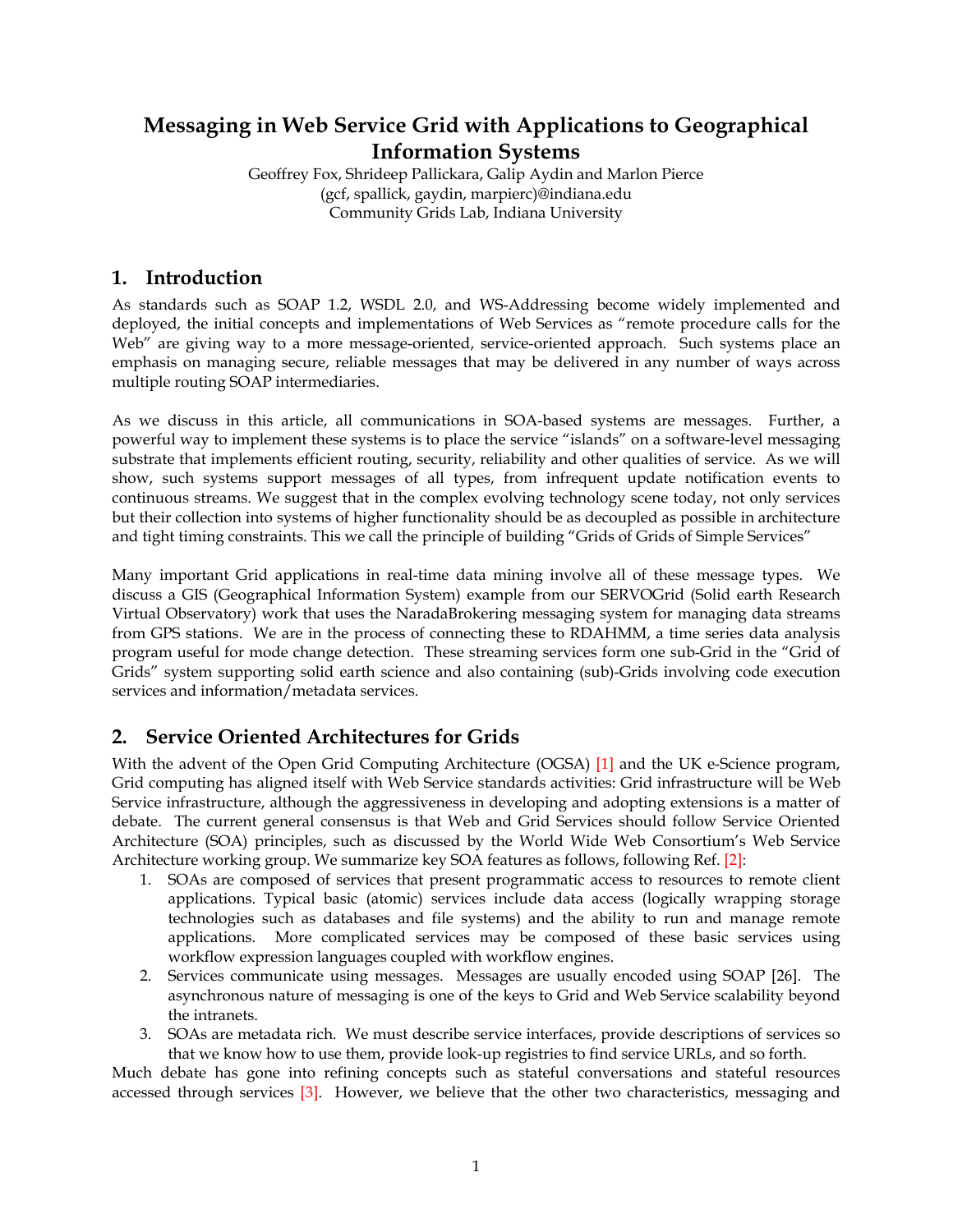# **Messaging in Web Service Grid with Applications to Geographical Information Systems**

Geoffrey Fox, Shrideep Pallickara, Galip Aydin and Marlon Pierce (gcf, spallick, gaydin, marpierc)@indiana.edu Community Grids Lab, Indiana University

### **1. Introduction**

As standards such as SOAP 1.2, WSDL 2.0, and WS-Addressing become widely implemented and deployed, the initial concepts and implementations of Web Services as "remote procedure calls for the Web" are giving way to a more message-oriented, service-oriented approach. Such systems place an emphasis on managing secure, reliable messages that may be delivered in any number of ways across multiple routing SOAP intermediaries.

As we discuss in this article, all communications in SOA-based systems are messages. Further, a powerful way to implement these systems is to place the service "islands" on a software-level messaging substrate that implements efficient routing, security, reliability and other qualities of service. As we will show, such systems support messages of all types, from infrequent update notification events to continuous streams. We suggest that in the complex evolving technology scene today, not only services but their collection into systems of higher functionality should be as decoupled as possible in architecture and tight timing constraints. This we call the principle of building "Grids of Grids of Simple Services"

Many important Grid applications in real-time data mining involve all of these message types. We discuss a GIS (Geographical Information System) example from our SERVOGrid (Solid earth Research Virtual Observatory) work that uses the NaradaBrokering messaging system for managing data streams from GPS stations. We are in the process of connecting these to RDAHMM, a time series data analysis program useful for mode change detection. These streaming services form one sub-Grid in the "Grid of Grids" system supporting solid earth science and also containing (sub)-Grids involving code execution services and information/metadata services.

### **2. Service Oriented Architectures for Grids**

With the advent of the Open Grid Computing Architecture (OGSA) [1] and the UK e-Science program, Grid computing has aligned itself with Web Service standards activities: Grid infrastructure will be Web Service infrastructure, although the aggressiveness in developing and adopting extensions is a matter of debate. The current general consensus is that Web and Grid Services should follow Service Oriented Architecture (SOA) principles, such as discussed by the World Wide Web Consortium's Web Service Architecture working group. We summarize key SOA features as follows, following Ref. [2]:

- 1. SOAs are composed of services that present programmatic access to resources to remote client applications. Typical basic (atomic) services include data access (logically wrapping storage technologies such as databases and file systems) and the ability to run and manage remote applications. More complicated services may be composed of these basic services using workflow expression languages coupled with workflow engines.
- 2. Services communicate using messages. Messages are usually encoded using SOAP [26]. The asynchronous nature of messaging is one of the keys to Grid and Web Service scalability beyond the intranets.
- 3. SOAs are metadata rich. We must describe service interfaces, provide descriptions of services so that we know how to use them, provide look-up registries to find service URLs, and so forth.

Much debate has gone into refining concepts such as stateful conversations and stateful resources accessed through services [3]. However, we believe that the other two characteristics, messaging and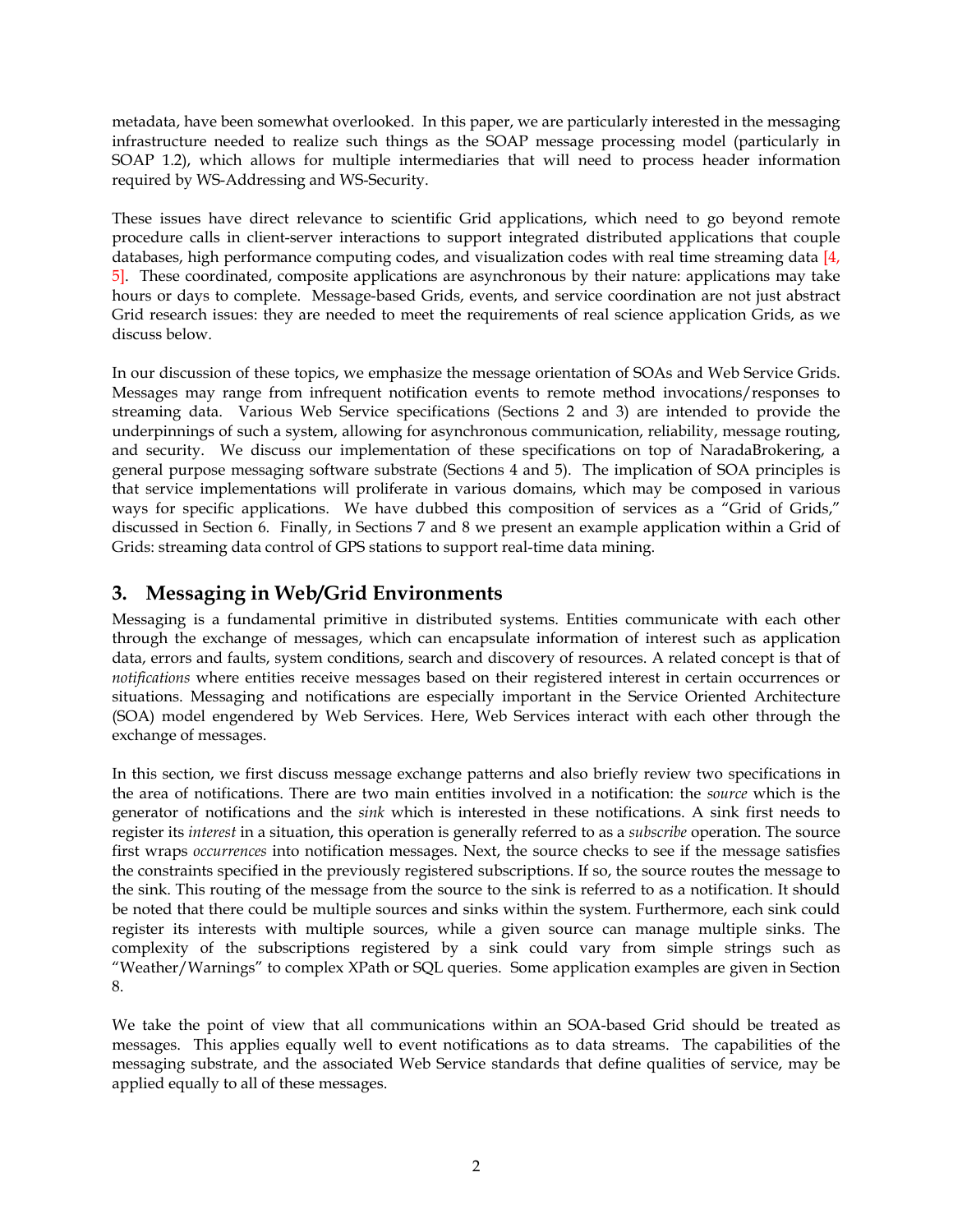metadata, have been somewhat overlooked. In this paper, we are particularly interested in the messaging infrastructure needed to realize such things as the SOAP message processing model (particularly in SOAP 1.2), which allows for multiple intermediaries that will need to process header information required by WS-Addressing and WS-Security.

These issues have direct relevance to scientific Grid applications, which need to go beyond remote procedure calls in client-server interactions to support integrated distributed applications that couple databases, high performance computing codes, and visualization codes with real time streaming data [4, 5]. These coordinated, composite applications are asynchronous by their nature: applications may take hours or days to complete. Message-based Grids, events, and service coordination are not just abstract Grid research issues: they are needed to meet the requirements of real science application Grids, as we discuss below.

In our discussion of these topics, we emphasize the message orientation of SOAs and Web Service Grids. Messages may range from infrequent notification events to remote method invocations/responses to streaming data. Various Web Service specifications (Sections 2 and 3) are intended to provide the underpinnings of such a system, allowing for asynchronous communication, reliability, message routing, and security. We discuss our implementation of these specifications on top of NaradaBrokering, a general purpose messaging software substrate (Sections 4 and 5). The implication of SOA principles is that service implementations will proliferate in various domains, which may be composed in various ways for specific applications. We have dubbed this composition of services as a "Grid of Grids," discussed in Section 6. Finally, in Sections 7 and 8 we present an example application within a Grid of Grids: streaming data control of GPS stations to support real-time data mining.

### **3. Messaging in Web/Grid Environments**

Messaging is a fundamental primitive in distributed systems. Entities communicate with each other through the exchange of messages, which can encapsulate information of interest such as application data, errors and faults, system conditions, search and discovery of resources. A related concept is that of *notifications* where entities receive messages based on their registered interest in certain occurrences or situations. Messaging and notifications are especially important in the Service Oriented Architecture (SOA) model engendered by Web Services. Here, Web Services interact with each other through the exchange of messages.

In this section, we first discuss message exchange patterns and also briefly review two specifications in the area of notifications. There are two main entities involved in a notification: the *source* which is the generator of notifications and the *sink* which is interested in these notifications. A sink first needs to register its *interest* in a situation, this operation is generally referred to as a *subscribe* operation. The source first wraps *occurrences* into notification messages. Next, the source checks to see if the message satisfies the constraints specified in the previously registered subscriptions. If so, the source routes the message to the sink. This routing of the message from the source to the sink is referred to as a notification. It should be noted that there could be multiple sources and sinks within the system. Furthermore, each sink could register its interests with multiple sources, while a given source can manage multiple sinks. The complexity of the subscriptions registered by a sink could vary from simple strings such as "Weather/Warnings" to complex XPath or SQL queries. Some application examples are given in Section 8.

We take the point of view that all communications within an SOA-based Grid should be treated as messages. This applies equally well to event notifications as to data streams. The capabilities of the messaging substrate, and the associated Web Service standards that define qualities of service, may be applied equally to all of these messages.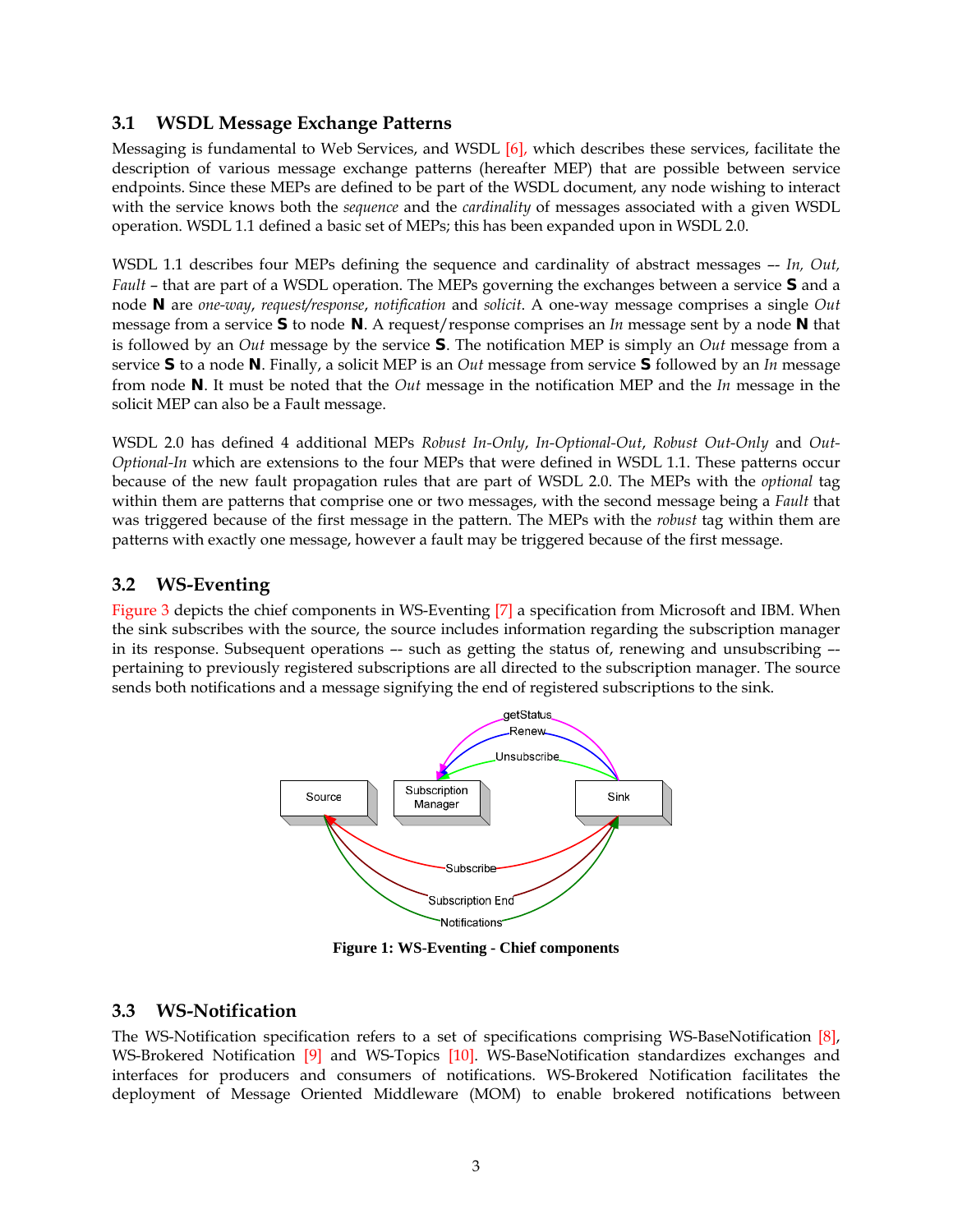#### **3.1 WSDL Message Exchange Patterns**

Messaging is fundamental to Web Services, and WSDL [6], which describes these services, facilitate the description of various message exchange patterns (hereafter MEP) that are possible between service endpoints. Since these MEPs are defined to be part of the WSDL document, any node wishing to interact with the service knows both the *sequence* and the *cardinality* of messages associated with a given WSDL operation. WSDL 1.1 defined a basic set of MEPs; this has been expanded upon in WSDL 2.0.

WSDL 1.1 describes four MEPs defining the sequence and cardinality of abstract messages –- *In, Out, Fault* – that are part of a WSDL operation. The MEPs governing the exchanges between a service **S** and a node **N** are *one-way*, *request/response*, *notification* and *solicit*. A one-way message comprises a single *Out* message from a service **S** to node **N**. A request/response comprises an *In* message sent by a node **N** that is followed by an *Out* message by the service **S**. The notification MEP is simply an *Out* message from a service **S** to a node **N**. Finally, a solicit MEP is an *Out* message from service **S** followed by an *In* message from node **N**. It must be noted that the *Out* message in the notification MEP and the *In* message in the solicit MEP can also be a Fault message.

WSDL 2.0 has defined 4 additional MEPs *Robust In-Only*, *In-Optional-Out*, *Robust Out-Only* and *Out-Optional-In* which are extensions to the four MEPs that were defined in WSDL 1.1. These patterns occur because of the new fault propagation rules that are part of WSDL 2.0. The MEPs with the *optional* tag within them are patterns that comprise one or two messages, with the second message being a *Fault* that was triggered because of the first message in the pattern. The MEPs with the *robust* tag within them are patterns with exactly one message, however a fault may be triggered because of the first message.

#### **3.2 WS-Eventing**

Figure 3 depicts the chief components in WS-Eventing [7] a specification from Microsoft and IBM. When the sink subscribes with the source, the source includes information regarding the subscription manager in its response. Subsequent operations –- such as getting the status of, renewing and unsubscribing – pertaining to previously registered subscriptions are all directed to the subscription manager. The source sends both notifications and a message signifying the end of registered subscriptions to the sink.



**Figure 1: WS-Eventing - Chief components** 

### **3.3 WS-Notification**

The WS-Notification specification refers to a set of specifications comprising WS-BaseNotification [8], WS-Brokered Notification [9] and WS-Topics [10]. WS-BaseNotification standardizes exchanges and interfaces for producers and consumers of notifications. WS-Brokered Notification facilitates the deployment of Message Oriented Middleware (MOM) to enable brokered notifications between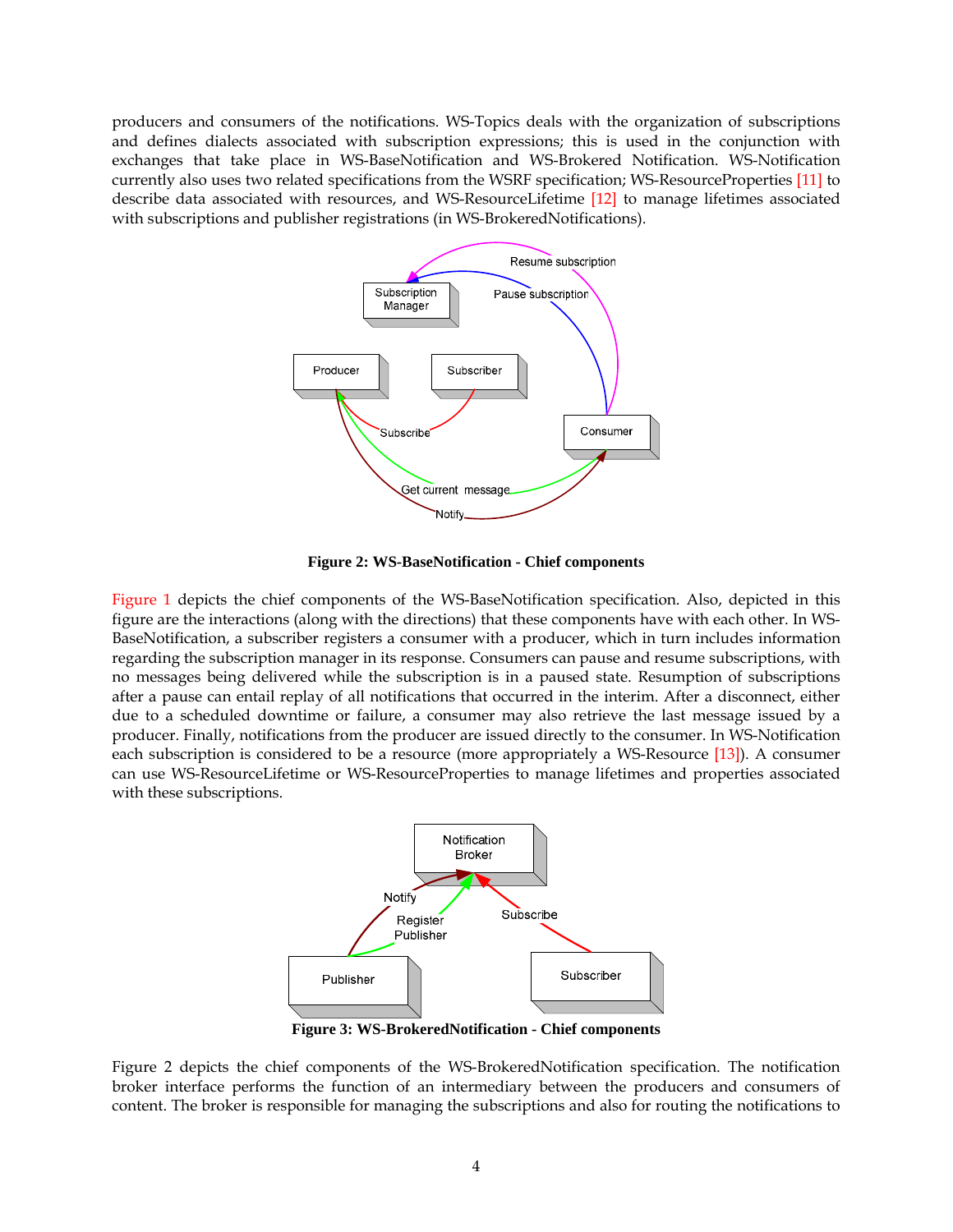producers and consumers of the notifications. WS-Topics deals with the organization of subscriptions and defines dialects associated with subscription expressions; this is used in the conjunction with exchanges that take place in WS-BaseNotification and WS-Brokered Notification. WS-Notification currently also uses two related specifications from the WSRF specification; WS-ResourceProperties [11] to describe data associated with resources, and WS-ResourceLifetime [12] to manage lifetimes associated with subscriptions and publisher registrations (in WS-BrokeredNotifications).



**Figure 2: WS-BaseNotification - Chief components** 

Figure 1 depicts the chief components of the WS-BaseNotification specification. Also, depicted in this figure are the interactions (along with the directions) that these components have with each other. In WS-BaseNotification, a subscriber registers a consumer with a producer, which in turn includes information regarding the subscription manager in its response. Consumers can pause and resume subscriptions, with no messages being delivered while the subscription is in a paused state. Resumption of subscriptions after a pause can entail replay of all notifications that occurred in the interim. After a disconnect, either due to a scheduled downtime or failure, a consumer may also retrieve the last message issued by a producer. Finally, notifications from the producer are issued directly to the consumer. In WS-Notification each subscription is considered to be a resource (more appropriately a WS-Resource [13]). A consumer can use WS-ResourceLifetime or WS-ResourceProperties to manage lifetimes and properties associated with these subscriptions.



**Figure 3: WS-BrokeredNotification - Chief components** 

Figure 2 depicts the chief components of the WS-BrokeredNotification specification. The notification broker interface performs the function of an intermediary between the producers and consumers of content. The broker is responsible for managing the subscriptions and also for routing the notifications to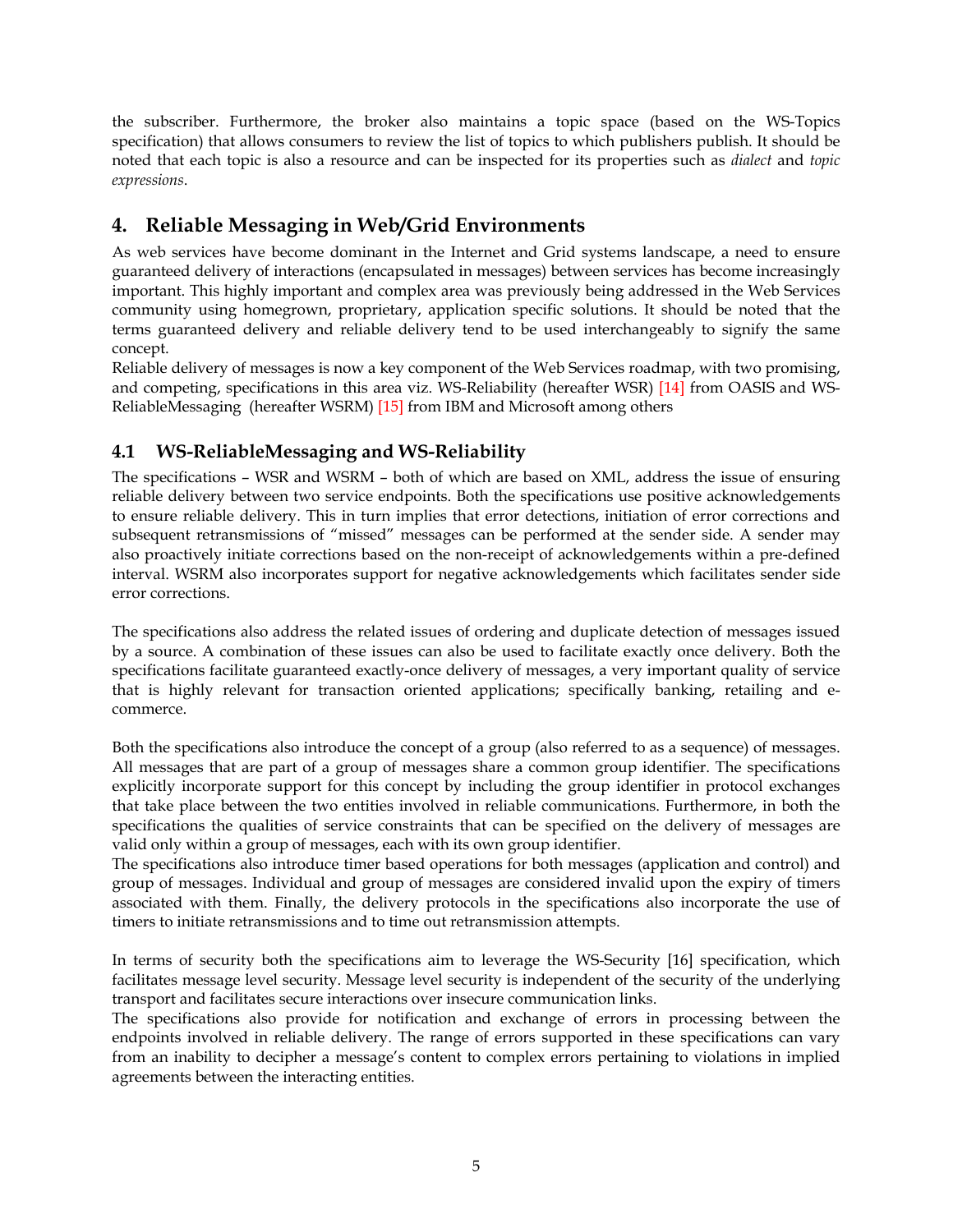the subscriber. Furthermore, the broker also maintains a topic space (based on the WS-Topics specification) that allows consumers to review the list of topics to which publishers publish. It should be noted that each topic is also a resource and can be inspected for its properties such as *dialect* and *topic expressions*.

## **4. Reliable Messaging in Web/Grid Environments**

As web services have become dominant in the Internet and Grid systems landscape, a need to ensure guaranteed delivery of interactions (encapsulated in messages) between services has become increasingly important. This highly important and complex area was previously being addressed in the Web Services community using homegrown, proprietary, application specific solutions. It should be noted that the terms guaranteed delivery and reliable delivery tend to be used interchangeably to signify the same concept.

Reliable delivery of messages is now a key component of the Web Services roadmap, with two promising, and competing, specifications in this area viz. WS-Reliability (hereafter WSR) [14] from OASIS and WS-ReliableMessaging (hereafter WSRM) [15] from IBM and Microsoft among others

### **4.1 WS-ReliableMessaging and WS-Reliability**

The specifications – WSR and WSRM – both of which are based on XML, address the issue of ensuring reliable delivery between two service endpoints. Both the specifications use positive acknowledgements to ensure reliable delivery. This in turn implies that error detections, initiation of error corrections and subsequent retransmissions of "missed" messages can be performed at the sender side. A sender may also proactively initiate corrections based on the non-receipt of acknowledgements within a pre-defined interval. WSRM also incorporates support for negative acknowledgements which facilitates sender side error corrections.

The specifications also address the related issues of ordering and duplicate detection of messages issued by a source. A combination of these issues can also be used to facilitate exactly once delivery. Both the specifications facilitate guaranteed exactly-once delivery of messages, a very important quality of service that is highly relevant for transaction oriented applications; specifically banking, retailing and ecommerce.

Both the specifications also introduce the concept of a group (also referred to as a sequence) of messages. All messages that are part of a group of messages share a common group identifier. The specifications explicitly incorporate support for this concept by including the group identifier in protocol exchanges that take place between the two entities involved in reliable communications. Furthermore, in both the specifications the qualities of service constraints that can be specified on the delivery of messages are valid only within a group of messages, each with its own group identifier.

The specifications also introduce timer based operations for both messages (application and control) and group of messages. Individual and group of messages are considered invalid upon the expiry of timers associated with them. Finally, the delivery protocols in the specifications also incorporate the use of timers to initiate retransmissions and to time out retransmission attempts.

In terms of security both the specifications aim to leverage the WS-Security [16] specification, which facilitates message level security. Message level security is independent of the security of the underlying transport and facilitates secure interactions over insecure communication links.

The specifications also provide for notification and exchange of errors in processing between the endpoints involved in reliable delivery. The range of errors supported in these specifications can vary from an inability to decipher a message's content to complex errors pertaining to violations in implied agreements between the interacting entities.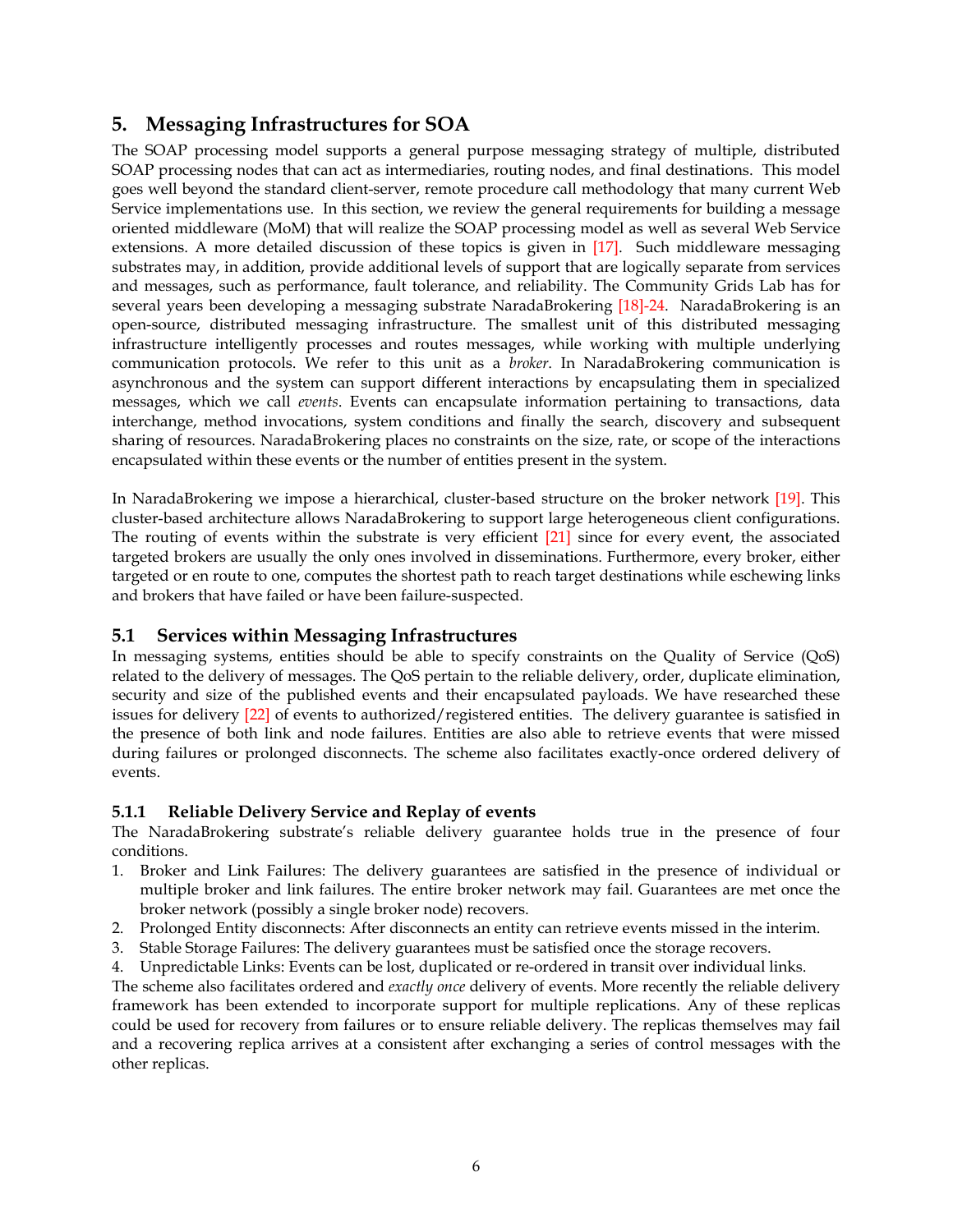### **5. Messaging Infrastructures for SOA**

The SOAP processing model supports a general purpose messaging strategy of multiple, distributed SOAP processing nodes that can act as intermediaries, routing nodes, and final destinations. This model goes well beyond the standard client-server, remote procedure call methodology that many current Web Service implementations use. In this section, we review the general requirements for building a message oriented middleware (MoM) that will realize the SOAP processing model as well as several Web Service extensions. A more detailed discussion of these topics is given in [17]. Such middleware messaging substrates may, in addition, provide additional levels of support that are logically separate from services and messages, such as performance, fault tolerance, and reliability. The Community Grids Lab has for several years been developing a messaging substrate NaradaBrokering [18]-24. NaradaBrokering is an open-source, distributed messaging infrastructure. The smallest unit of this distributed messaging infrastructure intelligently processes and routes messages, while working with multiple underlying communication protocols. We refer to this unit as a *broker*. In NaradaBrokering communication is asynchronous and the system can support different interactions by encapsulating them in specialized messages, which we call *events*. Events can encapsulate information pertaining to transactions, data interchange, method invocations, system conditions and finally the search, discovery and subsequent sharing of resources. NaradaBrokering places no constraints on the size, rate, or scope of the interactions encapsulated within these events or the number of entities present in the system.

In NaradaBrokering we impose a hierarchical, cluster-based structure on the broker network [19]. This cluster-based architecture allows NaradaBrokering to support large heterogeneous client configurations. The routing of events within the substrate is very efficient [21] since for every event, the associated targeted brokers are usually the only ones involved in disseminations. Furthermore, every broker, either targeted or en route to one, computes the shortest path to reach target destinations while eschewing links and brokers that have failed or have been failure-suspected.

#### **5.1 Services within Messaging Infrastructures**

In messaging systems, entities should be able to specify constraints on the Quality of Service (QoS) related to the delivery of messages. The QoS pertain to the reliable delivery, order, duplicate elimination, security and size of the published events and their encapsulated payloads. We have researched these issues for delivery [22] of events to authorized/registered entities. The delivery guarantee is satisfied in the presence of both link and node failures. Entities are also able to retrieve events that were missed during failures or prolonged disconnects. The scheme also facilitates exactly-once ordered delivery of events.

#### **5.1.1 Reliable Delivery Service and Replay of events**

The NaradaBrokering substrate's reliable delivery guarantee holds true in the presence of four conditions.

- 1. Broker and Link Failures: The delivery guarantees are satisfied in the presence of individual or multiple broker and link failures. The entire broker network may fail. Guarantees are met once the broker network (possibly a single broker node) recovers.
- 2. Prolonged Entity disconnects: After disconnects an entity can retrieve events missed in the interim.
- 3. Stable Storage Failures: The delivery guarantees must be satisfied once the storage recovers.
- 4. Unpredictable Links: Events can be lost, duplicated or re-ordered in transit over individual links.

The scheme also facilitates ordered and *exactly once* delivery of events. More recently the reliable delivery framework has been extended to incorporate support for multiple replications. Any of these replicas could be used for recovery from failures or to ensure reliable delivery. The replicas themselves may fail and a recovering replica arrives at a consistent after exchanging a series of control messages with the other replicas.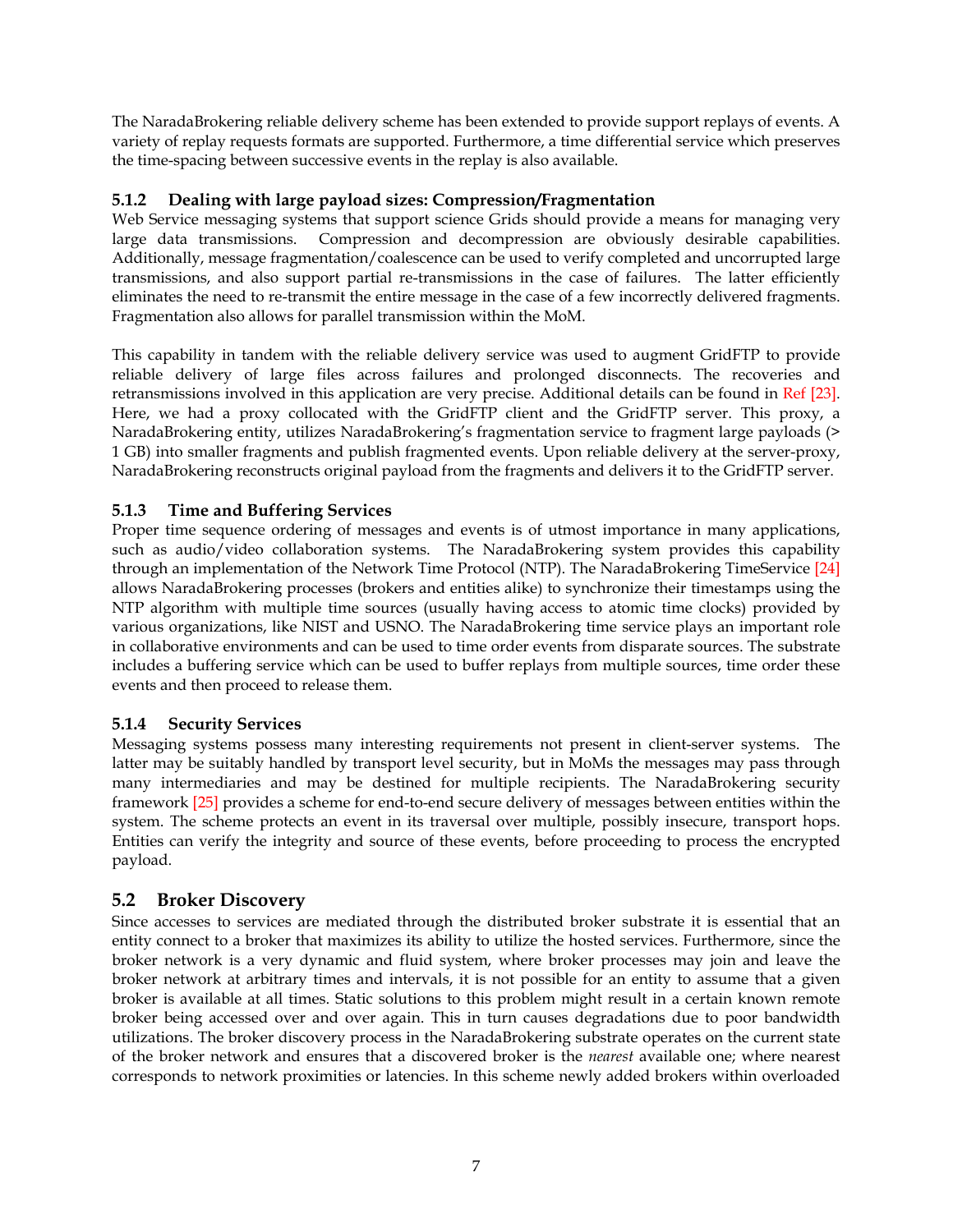The NaradaBrokering reliable delivery scheme has been extended to provide support replays of events. A variety of replay requests formats are supported. Furthermore, a time differential service which preserves the time-spacing between successive events in the replay is also available.

#### **5.1.2 Dealing with large payload sizes: Compression/Fragmentation**

Web Service messaging systems that support science Grids should provide a means for managing very large data transmissions. Compression and decompression are obviously desirable capabilities. Additionally, message fragmentation/coalescence can be used to verify completed and uncorrupted large transmissions, and also support partial re-transmissions in the case of failures. The latter efficiently eliminates the need to re-transmit the entire message in the case of a few incorrectly delivered fragments. Fragmentation also allows for parallel transmission within the MoM.

This capability in tandem with the reliable delivery service was used to augment GridFTP to provide reliable delivery of large files across failures and prolonged disconnects. The recoveries and retransmissions involved in this application are very precise. Additional details can be found in Ref [23]. Here, we had a proxy collocated with the GridFTP client and the GridFTP server. This proxy, a NaradaBrokering entity, utilizes NaradaBrokering's fragmentation service to fragment large payloads (> 1 GB) into smaller fragments and publish fragmented events. Upon reliable delivery at the server-proxy, NaradaBrokering reconstructs original payload from the fragments and delivers it to the GridFTP server.

#### **5.1.3 Time and Buffering Services**

Proper time sequence ordering of messages and events is of utmost importance in many applications, such as audio/video collaboration systems. The NaradaBrokering system provides this capability through an implementation of the Network Time Protocol (NTP). The NaradaBrokering TimeService [24] allows NaradaBrokering processes (brokers and entities alike) to synchronize their timestamps using the NTP algorithm with multiple time sources (usually having access to atomic time clocks) provided by various organizations, like NIST and USNO. The NaradaBrokering time service plays an important role in collaborative environments and can be used to time order events from disparate sources. The substrate includes a buffering service which can be used to buffer replays from multiple sources, time order these events and then proceed to release them.

#### **5.1.4 Security Services**

Messaging systems possess many interesting requirements not present in client-server systems. The latter may be suitably handled by transport level security, but in MoMs the messages may pass through many intermediaries and may be destined for multiple recipients. The NaradaBrokering security framework [25] provides a scheme for end-to-end secure delivery of messages between entities within the system. The scheme protects an event in its traversal over multiple, possibly insecure, transport hops. Entities can verify the integrity and source of these events, before proceeding to process the encrypted payload.

#### **5.2 Broker Discovery**

Since accesses to services are mediated through the distributed broker substrate it is essential that an entity connect to a broker that maximizes its ability to utilize the hosted services. Furthermore, since the broker network is a very dynamic and fluid system, where broker processes may join and leave the broker network at arbitrary times and intervals, it is not possible for an entity to assume that a given broker is available at all times. Static solutions to this problem might result in a certain known remote broker being accessed over and over again. This in turn causes degradations due to poor bandwidth utilizations. The broker discovery process in the NaradaBrokering substrate operates on the current state of the broker network and ensures that a discovered broker is the *nearest* available one; where nearest corresponds to network proximities or latencies. In this scheme newly added brokers within overloaded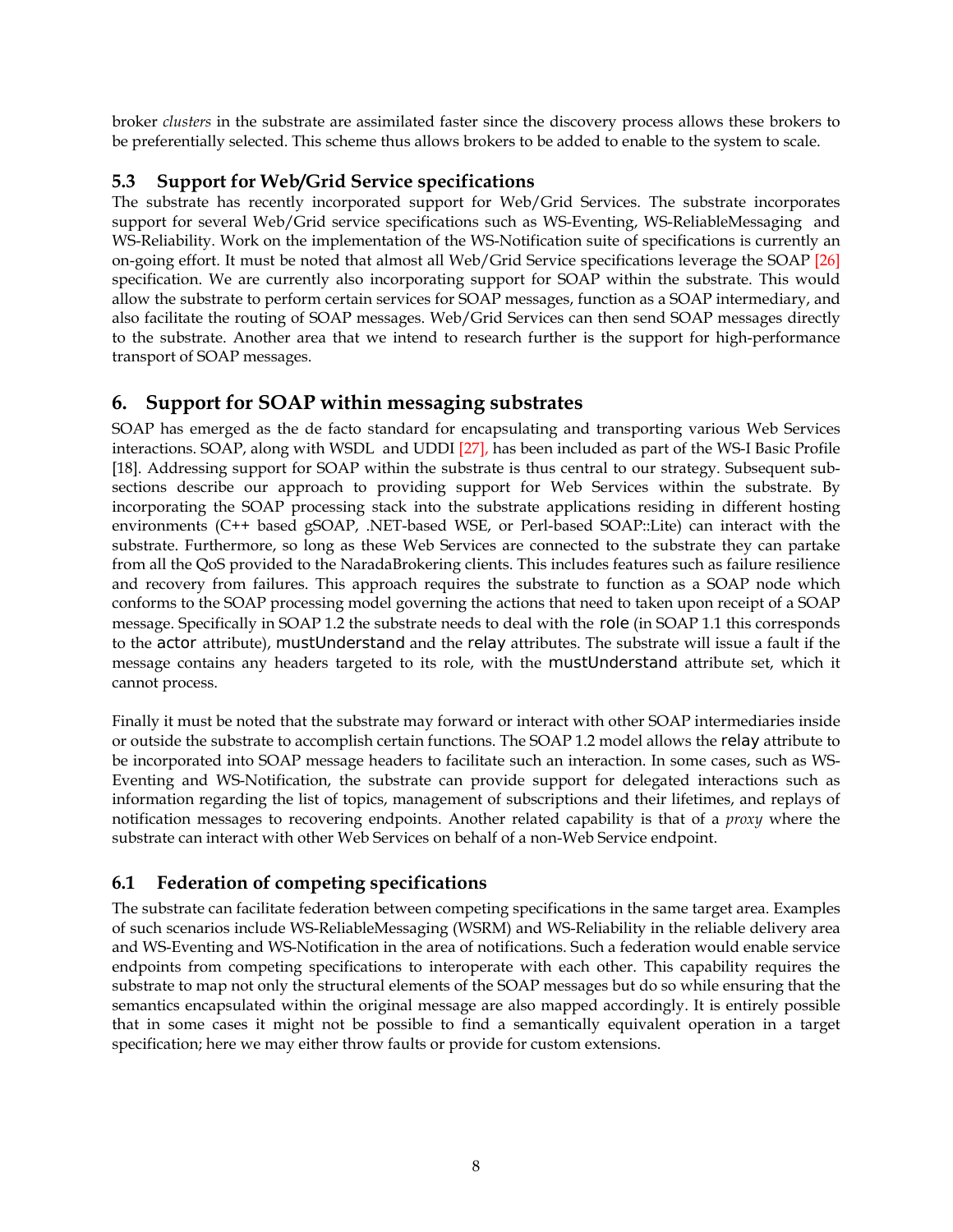broker *clusters* in the substrate are assimilated faster since the discovery process allows these brokers to be preferentially selected. This scheme thus allows brokers to be added to enable to the system to scale.

#### **5.3 Support for Web/Grid Service specifications**

The substrate has recently incorporated support for Web/Grid Services. The substrate incorporates support for several Web/Grid service specifications such as WS-Eventing, WS-ReliableMessaging and WS-Reliability. Work on the implementation of the WS-Notification suite of specifications is currently an on-going effort. It must be noted that almost all Web/Grid Service specifications leverage the SOAP [26] specification. We are currently also incorporating support for SOAP within the substrate. This would allow the substrate to perform certain services for SOAP messages, function as a SOAP intermediary, and also facilitate the routing of SOAP messages. Web/Grid Services can then send SOAP messages directly to the substrate. Another area that we intend to research further is the support for high-performance transport of SOAP messages.

### **6. Support for SOAP within messaging substrates**

SOAP has emerged as the de facto standard for encapsulating and transporting various Web Services interactions. SOAP, along with WSDL and UDDI [27], has been included as part of the WS-I Basic Profile [18]. Addressing support for SOAP within the substrate is thus central to our strategy. Subsequent subsections describe our approach to providing support for Web Services within the substrate. By incorporating the SOAP processing stack into the substrate applications residing in different hosting environments (C++ based gSOAP, .NET-based WSE, or Perl-based SOAP::Lite) can interact with the substrate. Furthermore, so long as these Web Services are connected to the substrate they can partake from all the QoS provided to the NaradaBrokering clients. This includes features such as failure resilience and recovery from failures. This approach requires the substrate to function as a SOAP node which conforms to the SOAP processing model governing the actions that need to taken upon receipt of a SOAP message. Specifically in SOAP 1.2 the substrate needs to deal with the role (in SOAP 1.1 this corresponds to the actor attribute), mustUnderstand and the relay attributes. The substrate will issue a fault if the message contains any headers targeted to its role, with the mustUnderstand attribute set, which it cannot process.

Finally it must be noted that the substrate may forward or interact with other SOAP intermediaries inside or outside the substrate to accomplish certain functions. The SOAP 1.2 model allows the relay attribute to be incorporated into SOAP message headers to facilitate such an interaction. In some cases, such as WS-Eventing and WS-Notification, the substrate can provide support for delegated interactions such as information regarding the list of topics, management of subscriptions and their lifetimes, and replays of notification messages to recovering endpoints. Another related capability is that of a *proxy* where the substrate can interact with other Web Services on behalf of a non-Web Service endpoint.

### **6.1 Federation of competing specifications**

The substrate can facilitate federation between competing specifications in the same target area. Examples of such scenarios include WS-ReliableMessaging (WSRM) and WS-Reliability in the reliable delivery area and WS-Eventing and WS-Notification in the area of notifications. Such a federation would enable service endpoints from competing specifications to interoperate with each other. This capability requires the substrate to map not only the structural elements of the SOAP messages but do so while ensuring that the semantics encapsulated within the original message are also mapped accordingly. It is entirely possible that in some cases it might not be possible to find a semantically equivalent operation in a target specification; here we may either throw faults or provide for custom extensions.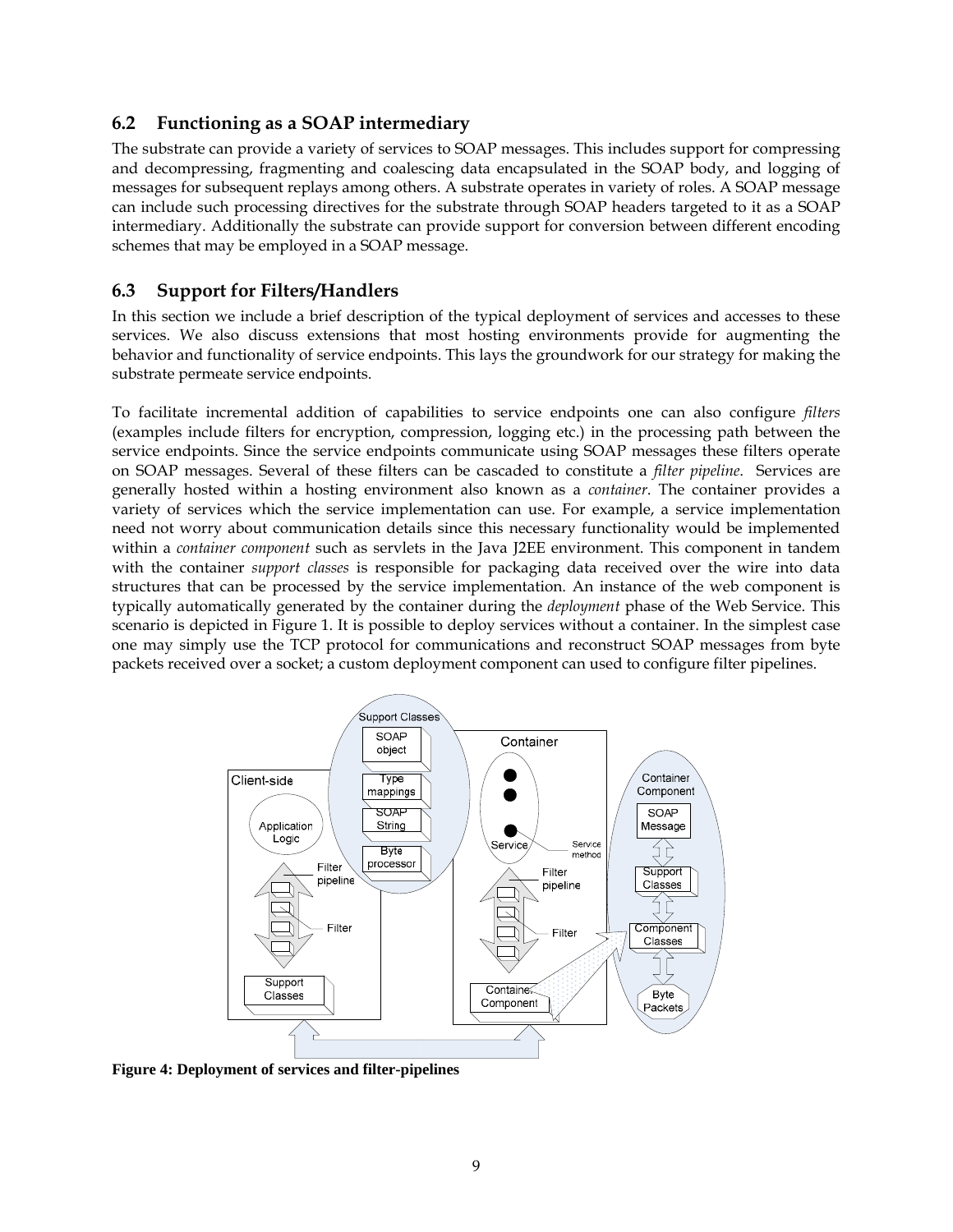#### **6.2 Functioning as a SOAP intermediary**

The substrate can provide a variety of services to SOAP messages. This includes support for compressing and decompressing, fragmenting and coalescing data encapsulated in the SOAP body, and logging of messages for subsequent replays among others. A substrate operates in variety of roles. A SOAP message can include such processing directives for the substrate through SOAP headers targeted to it as a SOAP intermediary. Additionally the substrate can provide support for conversion between different encoding schemes that may be employed in a SOAP message.

### **6.3 Support for Filters/Handlers**

In this section we include a brief description of the typical deployment of services and accesses to these services. We also discuss extensions that most hosting environments provide for augmenting the behavior and functionality of service endpoints. This lays the groundwork for our strategy for making the substrate permeate service endpoints.

To facilitate incremental addition of capabilities to service endpoints one can also configure *filters* (examples include filters for encryption, compression, logging etc.) in the processing path between the service endpoints. Since the service endpoints communicate using SOAP messages these filters operate on SOAP messages. Several of these filters can be cascaded to constitute a *filter pipeline*. Services are generally hosted within a hosting environment also known as a *container*. The container provides a variety of services which the service implementation can use. For example, a service implementation need not worry about communication details since this necessary functionality would be implemented within a *container component* such as servlets in the Java J2EE environment. This component in tandem with the container *support classes* is responsible for packaging data received over the wire into data structures that can be processed by the service implementation. An instance of the web component is typically automatically generated by the container during the *deployment* phase of the Web Service. This scenario is depicted in Figure 1. It is possible to deploy services without a container. In the simplest case one may simply use the TCP protocol for communications and reconstruct SOAP messages from byte packets received over a socket; a custom deployment component can used to configure filter pipelines.



**Figure 4: Deployment of services and filter-pipelines**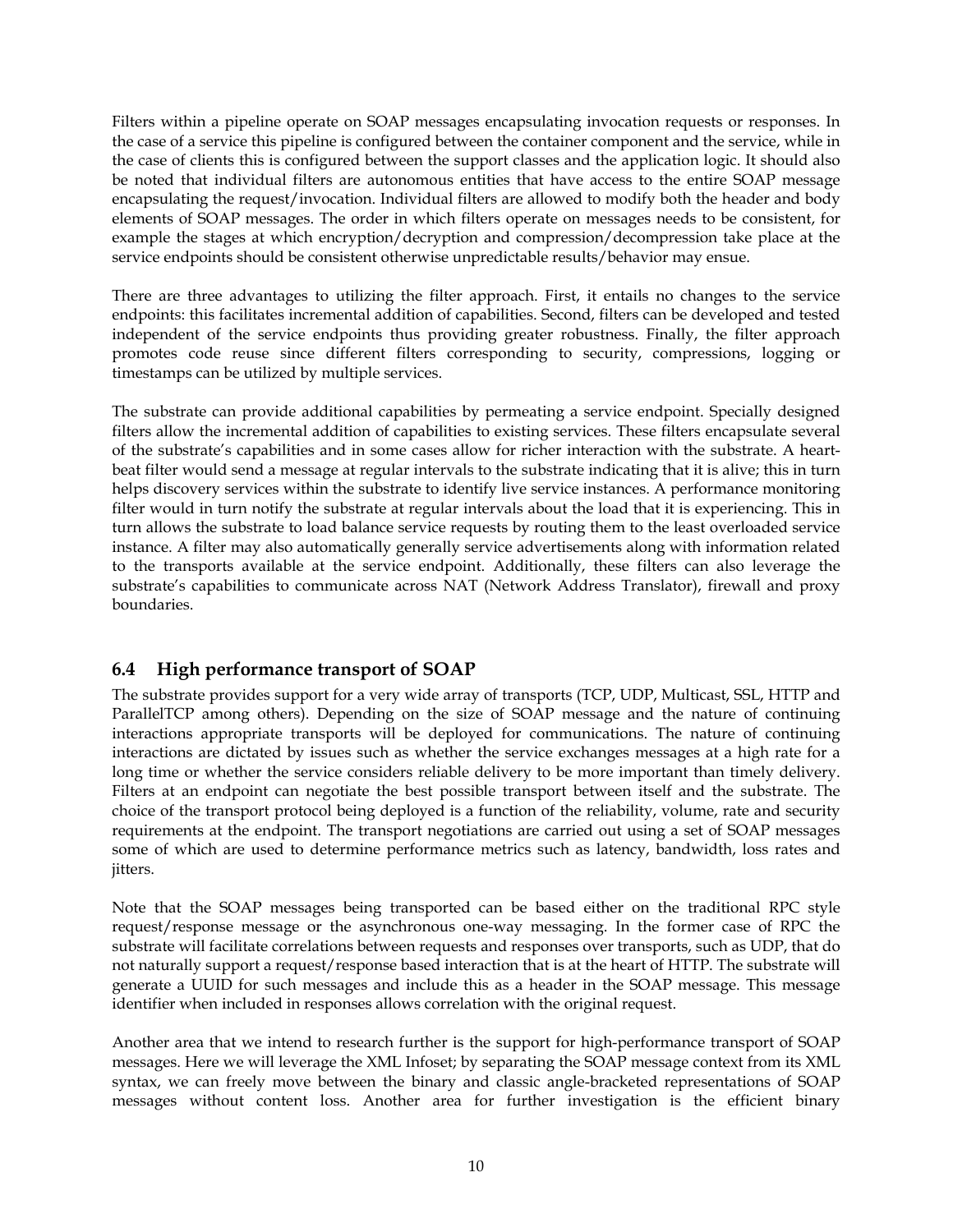Filters within a pipeline operate on SOAP messages encapsulating invocation requests or responses. In the case of a service this pipeline is configured between the container component and the service, while in the case of clients this is configured between the support classes and the application logic. It should also be noted that individual filters are autonomous entities that have access to the entire SOAP message encapsulating the request/invocation. Individual filters are allowed to modify both the header and body elements of SOAP messages. The order in which filters operate on messages needs to be consistent, for example the stages at which encryption/decryption and compression/decompression take place at the service endpoints should be consistent otherwise unpredictable results/behavior may ensue.

There are three advantages to utilizing the filter approach. First, it entails no changes to the service endpoints: this facilitates incremental addition of capabilities. Second, filters can be developed and tested independent of the service endpoints thus providing greater robustness. Finally, the filter approach promotes code reuse since different filters corresponding to security, compressions, logging or timestamps can be utilized by multiple services.

The substrate can provide additional capabilities by permeating a service endpoint. Specially designed filters allow the incremental addition of capabilities to existing services. These filters encapsulate several of the substrate's capabilities and in some cases allow for richer interaction with the substrate. A heartbeat filter would send a message at regular intervals to the substrate indicating that it is alive; this in turn helps discovery services within the substrate to identify live service instances. A performance monitoring filter would in turn notify the substrate at regular intervals about the load that it is experiencing. This in turn allows the substrate to load balance service requests by routing them to the least overloaded service instance. A filter may also automatically generally service advertisements along with information related to the transports available at the service endpoint. Additionally, these filters can also leverage the substrate's capabilities to communicate across NAT (Network Address Translator), firewall and proxy boundaries.

### **6.4 High performance transport of SOAP**

The substrate provides support for a very wide array of transports (TCP, UDP, Multicast, SSL, HTTP and ParallelTCP among others). Depending on the size of SOAP message and the nature of continuing interactions appropriate transports will be deployed for communications. The nature of continuing interactions are dictated by issues such as whether the service exchanges messages at a high rate for a long time or whether the service considers reliable delivery to be more important than timely delivery. Filters at an endpoint can negotiate the best possible transport between itself and the substrate. The choice of the transport protocol being deployed is a function of the reliability, volume, rate and security requirements at the endpoint. The transport negotiations are carried out using a set of SOAP messages some of which are used to determine performance metrics such as latency, bandwidth, loss rates and jitters.

Note that the SOAP messages being transported can be based either on the traditional RPC style request/response message or the asynchronous one-way messaging. In the former case of RPC the substrate will facilitate correlations between requests and responses over transports, such as UDP, that do not naturally support a request/response based interaction that is at the heart of HTTP. The substrate will generate a UUID for such messages and include this as a header in the SOAP message. This message identifier when included in responses allows correlation with the original request.

Another area that we intend to research further is the support for high-performance transport of SOAP messages. Here we will leverage the XML Infoset; by separating the SOAP message context from its XML syntax, we can freely move between the binary and classic angle-bracketed representations of SOAP messages without content loss. Another area for further investigation is the efficient binary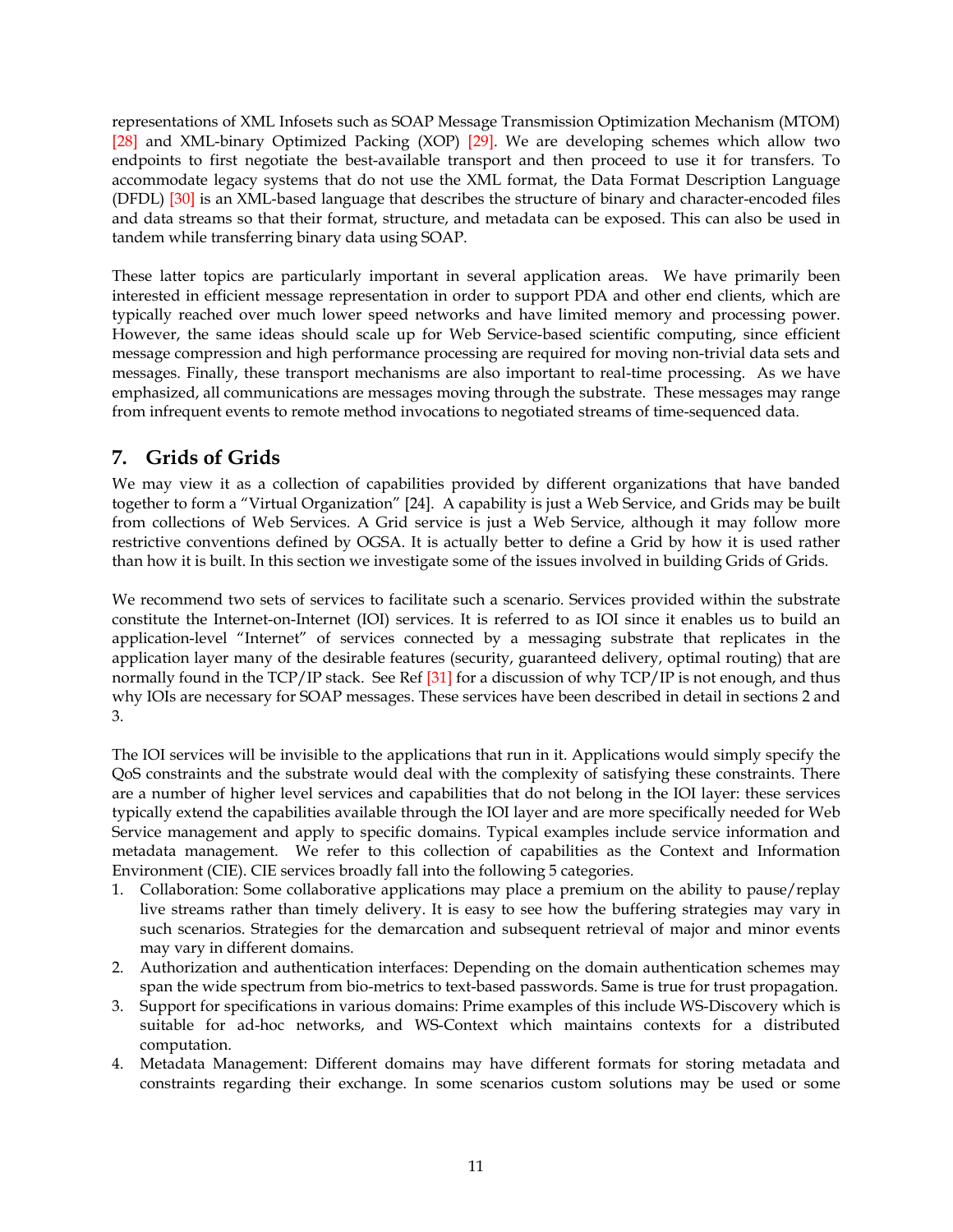representations of XML Infosets such as SOAP Message Transmission Optimization Mechanism (MTOM) [28] and XML-binary Optimized Packing (XOP) [29]. We are developing schemes which allow two endpoints to first negotiate the best-available transport and then proceed to use it for transfers. To accommodate legacy systems that do not use the XML format, the Data Format Description Language (DFDL) [30] is an XML-based language that describes the structure of binary and character-encoded files and data streams so that their format, structure, and metadata can be exposed. This can also be used in tandem while transferring binary data using SOAP.

These latter topics are particularly important in several application areas. We have primarily been interested in efficient message representation in order to support PDA and other end clients, which are typically reached over much lower speed networks and have limited memory and processing power. However, the same ideas should scale up for Web Service-based scientific computing, since efficient message compression and high performance processing are required for moving non-trivial data sets and messages. Finally, these transport mechanisms are also important to real-time processing. As we have emphasized, all communications are messages moving through the substrate. These messages may range from infrequent events to remote method invocations to negotiated streams of time-sequenced data.

## **7. Grids of Grids**

We may view it as a collection of capabilities provided by different organizations that have banded together to form a "Virtual Organization" [24]. A capability is just a Web Service, and Grids may be built from collections of Web Services. A Grid service is just a Web Service, although it may follow more restrictive conventions defined by OGSA. It is actually better to define a Grid by how it is used rather than how it is built. In this section we investigate some of the issues involved in building Grids of Grids.

We recommend two sets of services to facilitate such a scenario. Services provided within the substrate constitute the Internet-on-Internet (IOI) services. It is referred to as IOI since it enables us to build an application-level "Internet" of services connected by a messaging substrate that replicates in the application layer many of the desirable features (security, guaranteed delivery, optimal routing) that are normally found in the TCP/IP stack. See Ref [31] for a discussion of why TCP/IP is not enough, and thus why IOIs are necessary for SOAP messages. These services have been described in detail in sections 2 and 3.

The IOI services will be invisible to the applications that run in it. Applications would simply specify the QoS constraints and the substrate would deal with the complexity of satisfying these constraints. There are a number of higher level services and capabilities that do not belong in the IOI layer: these services typically extend the capabilities available through the IOI layer and are more specifically needed for Web Service management and apply to specific domains. Typical examples include service information and metadata management. We refer to this collection of capabilities as the Context and Information Environment (CIE). CIE services broadly fall into the following 5 categories.

- 1. Collaboration: Some collaborative applications may place a premium on the ability to pause/replay live streams rather than timely delivery. It is easy to see how the buffering strategies may vary in such scenarios. Strategies for the demarcation and subsequent retrieval of major and minor events may vary in different domains.
- 2. Authorization and authentication interfaces: Depending on the domain authentication schemes may span the wide spectrum from bio-metrics to text-based passwords. Same is true for trust propagation.
- 3. Support for specifications in various domains: Prime examples of this include WS-Discovery which is suitable for ad-hoc networks, and WS-Context which maintains contexts for a distributed computation.
- 4. Metadata Management: Different domains may have different formats for storing metadata and constraints regarding their exchange. In some scenarios custom solutions may be used or some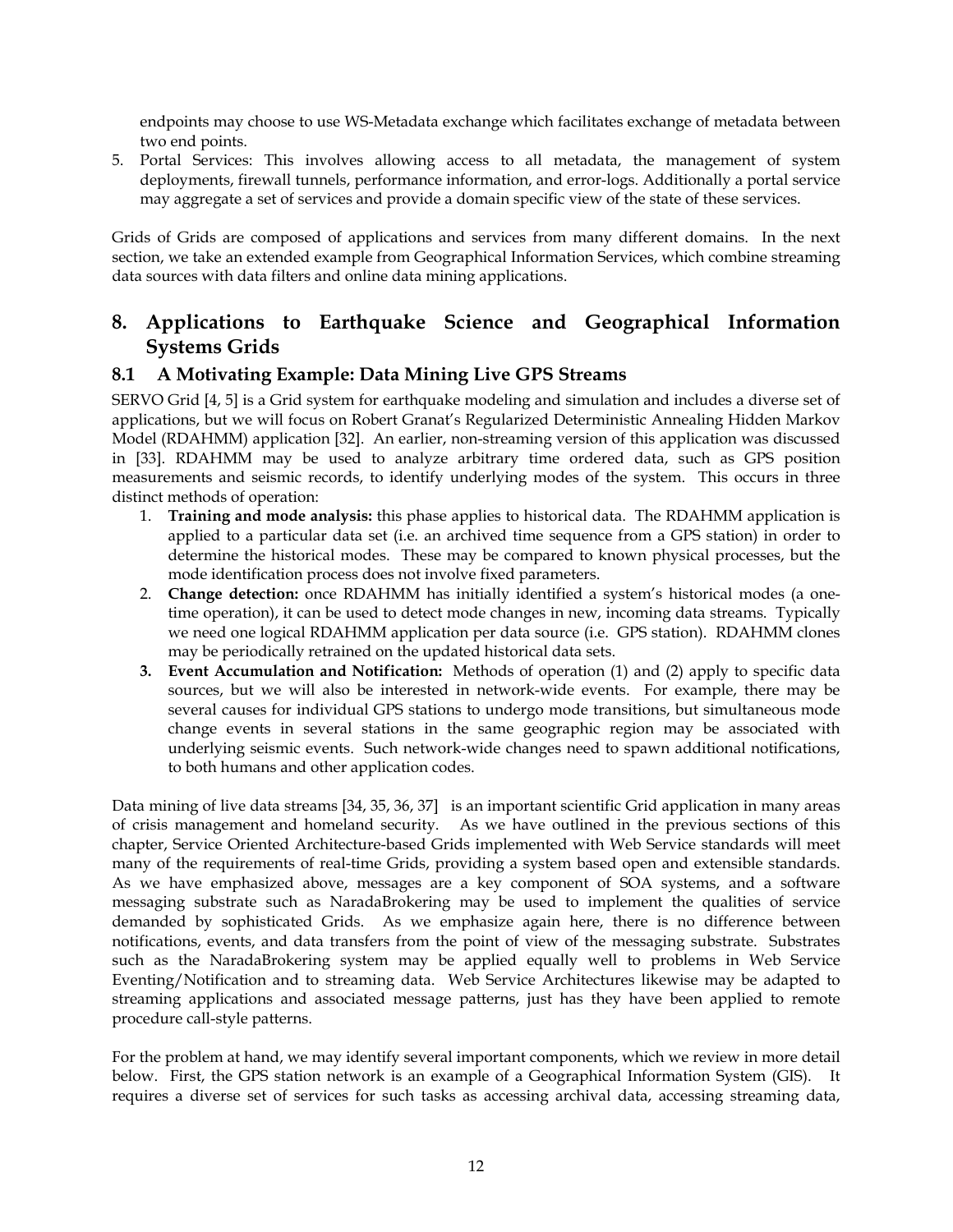endpoints may choose to use WS-Metadata exchange which facilitates exchange of metadata between two end points.

5. Portal Services: This involves allowing access to all metadata, the management of system deployments, firewall tunnels, performance information, and error-logs. Additionally a portal service may aggregate a set of services and provide a domain specific view of the state of these services.

Grids of Grids are composed of applications and services from many different domains. In the next section, we take an extended example from Geographical Information Services, which combine streaming data sources with data filters and online data mining applications.

## **8. Applications to Earthquake Science and Geographical Information Systems Grids**

### **8.1 A Motivating Example: Data Mining Live GPS Streams**

SERVO Grid [4, 5] is a Grid system for earthquake modeling and simulation and includes a diverse set of applications, but we will focus on Robert Granat's Regularized Deterministic Annealing Hidden Markov Model (RDAHMM) application [32]. An earlier, non-streaming version of this application was discussed in [33]. RDAHMM may be used to analyze arbitrary time ordered data, such as GPS position measurements and seismic records, to identify underlying modes of the system. This occurs in three distinct methods of operation:

- 1. **Training and mode analysis:** this phase applies to historical data. The RDAHMM application is applied to a particular data set (i.e. an archived time sequence from a GPS station) in order to determine the historical modes. These may be compared to known physical processes, but the mode identification process does not involve fixed parameters.
- 2. **Change detection:** once RDAHMM has initially identified a system's historical modes (a onetime operation), it can be used to detect mode changes in new, incoming data streams. Typically we need one logical RDAHMM application per data source (i.e. GPS station). RDAHMM clones may be periodically retrained on the updated historical data sets.
- **3. Event Accumulation and Notification:** Methods of operation (1) and (2) apply to specific data sources, but we will also be interested in network-wide events. For example, there may be several causes for individual GPS stations to undergo mode transitions, but simultaneous mode change events in several stations in the same geographic region may be associated with underlying seismic events. Such network-wide changes need to spawn additional notifications, to both humans and other application codes.

Data mining of live data streams [34, 35, 36, 37] is an important scientific Grid application in many areas of crisis management and homeland security. As we have outlined in the previous sections of this chapter, Service Oriented Architecture-based Grids implemented with Web Service standards will meet many of the requirements of real-time Grids, providing a system based open and extensible standards. As we have emphasized above, messages are a key component of SOA systems, and a software messaging substrate such as NaradaBrokering may be used to implement the qualities of service demanded by sophisticated Grids. As we emphasize again here, there is no difference between notifications, events, and data transfers from the point of view of the messaging substrate. Substrates such as the NaradaBrokering system may be applied equally well to problems in Web Service Eventing/Notification and to streaming data. Web Service Architectures likewise may be adapted to streaming applications and associated message patterns, just has they have been applied to remote procedure call-style patterns.

For the problem at hand, we may identify several important components, which we review in more detail below. First, the GPS station network is an example of a Geographical Information System (GIS). It requires a diverse set of services for such tasks as accessing archival data, accessing streaming data,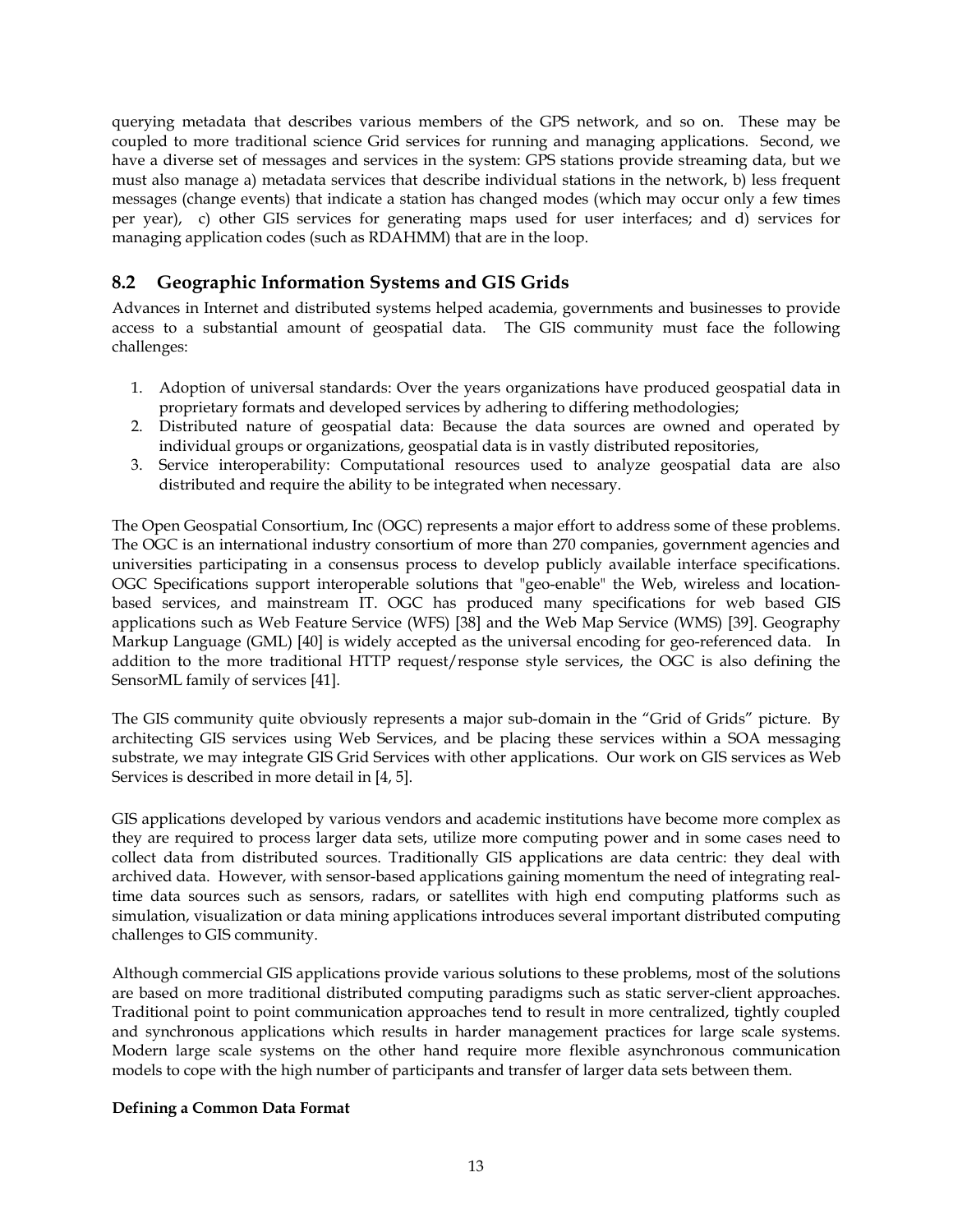querying metadata that describes various members of the GPS network, and so on. These may be coupled to more traditional science Grid services for running and managing applications. Second, we have a diverse set of messages and services in the system: GPS stations provide streaming data, but we must also manage a) metadata services that describe individual stations in the network, b) less frequent messages (change events) that indicate a station has changed modes (which may occur only a few times per year), c) other GIS services for generating maps used for user interfaces; and d) services for managing application codes (such as RDAHMM) that are in the loop.

### **8.2 Geographic Information Systems and GIS Grids**

Advances in Internet and distributed systems helped academia, governments and businesses to provide access to a substantial amount of geospatial data. The GIS community must face the following challenges:

- 1. Adoption of universal standards: Over the years organizations have produced geospatial data in proprietary formats and developed services by adhering to differing methodologies;
- 2. Distributed nature of geospatial data: Because the data sources are owned and operated by individual groups or organizations, geospatial data is in vastly distributed repositories,
- 3. Service interoperability: Computational resources used to analyze geospatial data are also distributed and require the ability to be integrated when necessary.

The Open Geospatial Consortium, Inc (OGC) represents a major effort to address some of these problems. The OGC is an international industry consortium of more than 270 companies, government agencies and universities participating in a consensus process to develop publicly available interface specifications. OGC Specifications support interoperable solutions that "geo-enable" the Web, wireless and locationbased services, and mainstream IT. OGC has produced many specifications for web based GIS applications such as Web Feature Service (WFS) [38] and the Web Map Service (WMS) [39]. Geography Markup Language (GML) [40] is widely accepted as the universal encoding for geo-referenced data. In addition to the more traditional HTTP request/response style services, the OGC is also defining the SensorML family of services [41].

The GIS community quite obviously represents a major sub-domain in the "Grid of Grids" picture. By architecting GIS services using Web Services, and be placing these services within a SOA messaging substrate, we may integrate GIS Grid Services with other applications. Our work on GIS services as Web Services is described in more detail in [4, 5].

GIS applications developed by various vendors and academic institutions have become more complex as they are required to process larger data sets, utilize more computing power and in some cases need to collect data from distributed sources. Traditionally GIS applications are data centric: they deal with archived data. However, with sensor-based applications gaining momentum the need of integrating realtime data sources such as sensors, radars, or satellites with high end computing platforms such as simulation, visualization or data mining applications introduces several important distributed computing challenges to GIS community.

Although commercial GIS applications provide various solutions to these problems, most of the solutions are based on more traditional distributed computing paradigms such as static server-client approaches. Traditional point to point communication approaches tend to result in more centralized, tightly coupled and synchronous applications which results in harder management practices for large scale systems. Modern large scale systems on the other hand require more flexible asynchronous communication models to cope with the high number of participants and transfer of larger data sets between them.

#### **Defining a Common Data Format**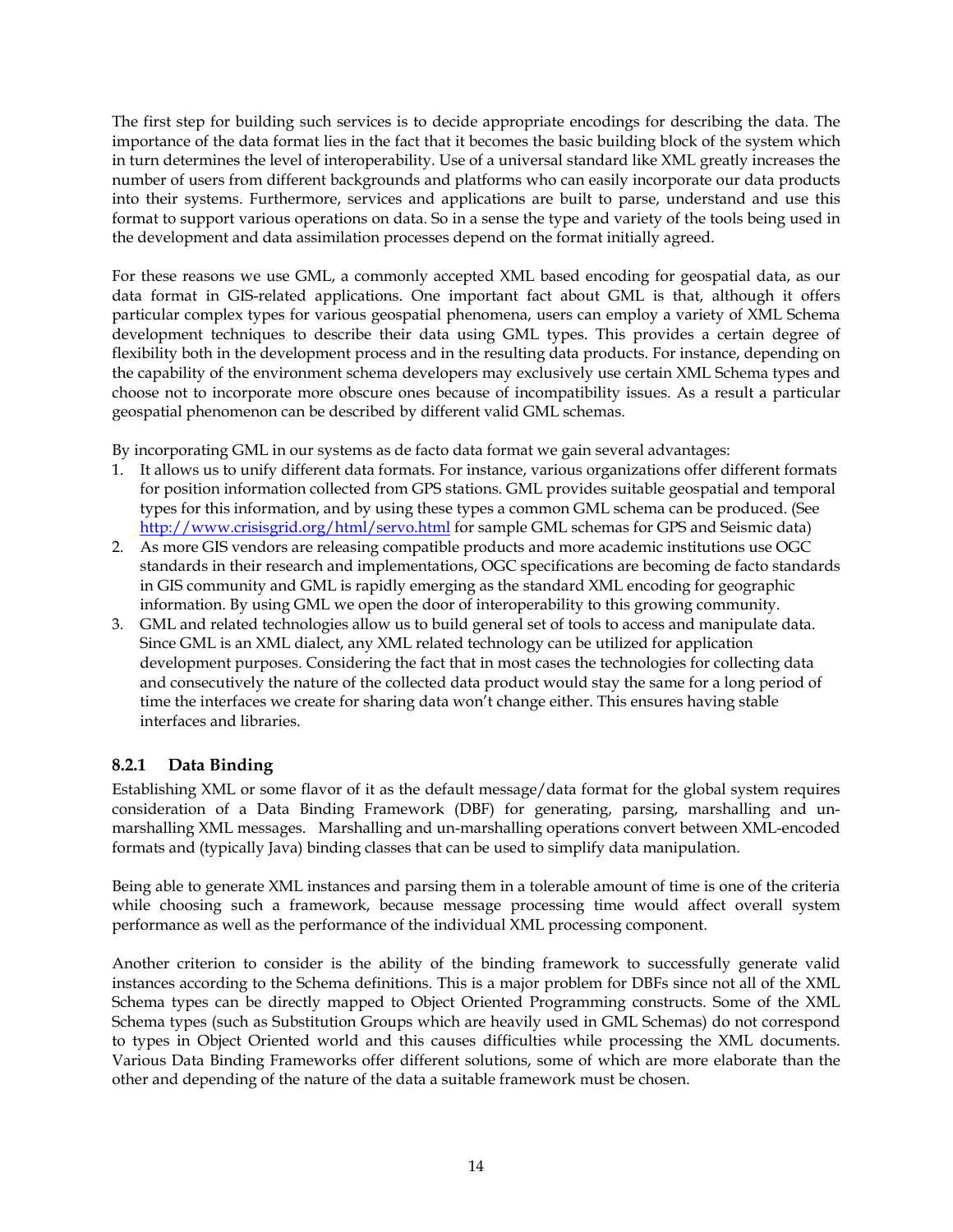The first step for building such services is to decide appropriate encodings for describing the data. The importance of the data format lies in the fact that it becomes the basic building block of the system which in turn determines the level of interoperability. Use of a universal standard like XML greatly increases the number of users from different backgrounds and platforms who can easily incorporate our data products into their systems. Furthermore, services and applications are built to parse, understand and use this format to support various operations on data. So in a sense the type and variety of the tools being used in the development and data assimilation processes depend on the format initially agreed.

For these reasons we use GML, a commonly accepted XML based encoding for geospatial data, as our data format in GIS-related applications. One important fact about GML is that, although it offers particular complex types for various geospatial phenomena, users can employ a variety of XML Schema development techniques to describe their data using GML types. This provides a certain degree of flexibility both in the development process and in the resulting data products. For instance, depending on the capability of the environment schema developers may exclusively use certain XML Schema types and choose not to incorporate more obscure ones because of incompatibility issues. As a result a particular geospatial phenomenon can be described by different valid GML schemas.

By incorporating GML in our systems as de facto data format we gain several advantages:

- 1. It allows us to unify different data formats. For instance, various organizations offer different formats for position information collected from GPS stations. GML provides suitable geospatial and temporal types for this information, and by using these types a common GML schema can be produced. (See http://www.crisisgrid.org/html/servo.html for sample GML schemas for GPS and Seismic data)
- 2. As more GIS vendors are releasing compatible products and more academic institutions use OGC standards in their research and implementations, OGC specifications are becoming de facto standards in GIS community and GML is rapidly emerging as the standard XML encoding for geographic information. By using GML we open the door of interoperability to this growing community.
- 3. GML and related technologies allow us to build general set of tools to access and manipulate data. Since GML is an XML dialect, any XML related technology can be utilized for application development purposes. Considering the fact that in most cases the technologies for collecting data and consecutively the nature of the collected data product would stay the same for a long period of time the interfaces we create for sharing data won't change either. This ensures having stable interfaces and libraries.

### **8.2.1 Data Binding**

Establishing XML or some flavor of it as the default message/data format for the global system requires consideration of a Data Binding Framework (DBF) for generating, parsing, marshalling and unmarshalling XML messages. Marshalling and un-marshalling operations convert between XML-encoded formats and (typically Java) binding classes that can be used to simplify data manipulation.

Being able to generate XML instances and parsing them in a tolerable amount of time is one of the criteria while choosing such a framework, because message processing time would affect overall system performance as well as the performance of the individual XML processing component.

Another criterion to consider is the ability of the binding framework to successfully generate valid instances according to the Schema definitions. This is a major problem for DBFs since not all of the XML Schema types can be directly mapped to Object Oriented Programming constructs. Some of the XML Schema types (such as Substitution Groups which are heavily used in GML Schemas) do not correspond to types in Object Oriented world and this causes difficulties while processing the XML documents. Various Data Binding Frameworks offer different solutions, some of which are more elaborate than the other and depending of the nature of the data a suitable framework must be chosen.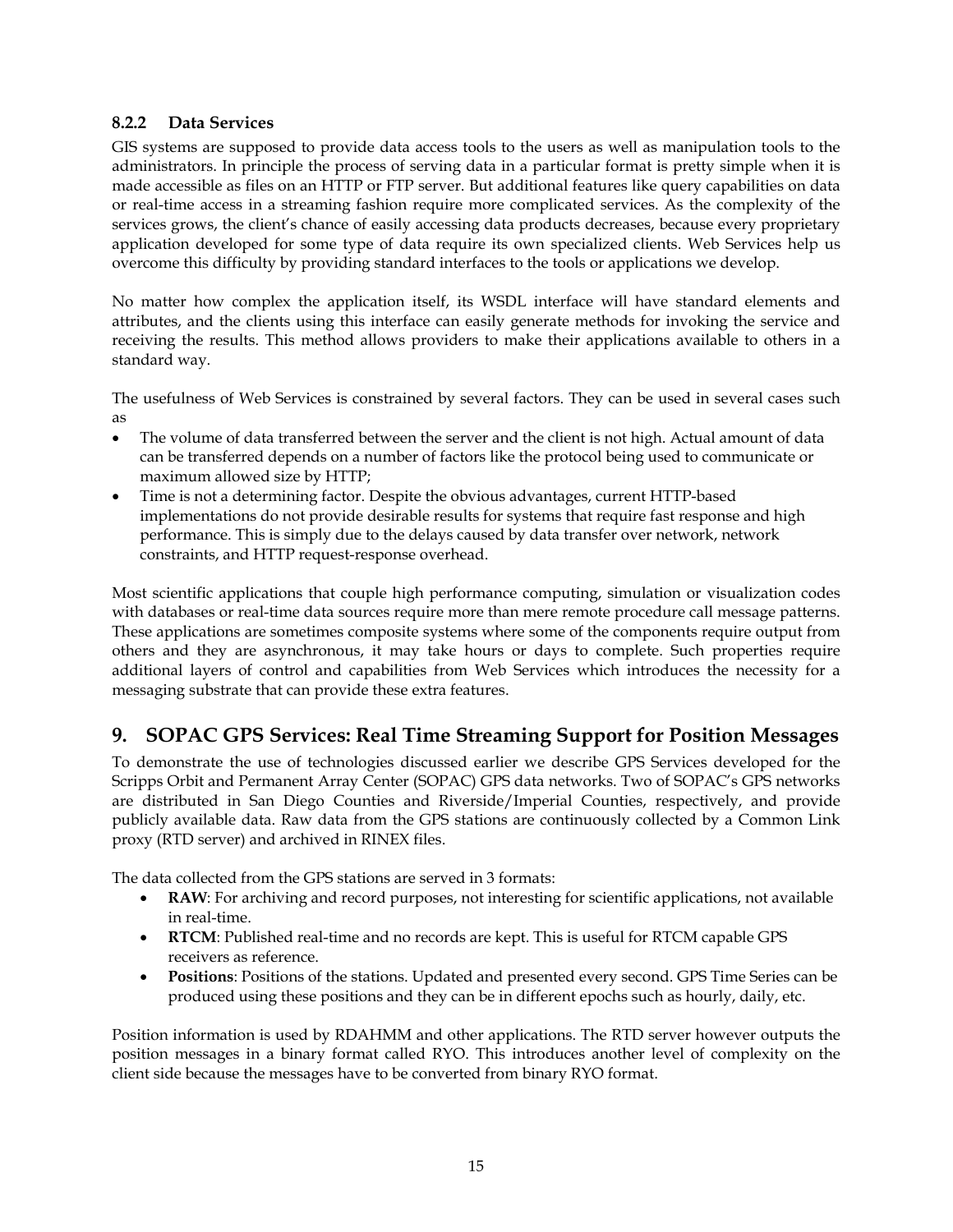#### **8.2.2 Data Services**

GIS systems are supposed to provide data access tools to the users as well as manipulation tools to the administrators. In principle the process of serving data in a particular format is pretty simple when it is made accessible as files on an HTTP or FTP server. But additional features like query capabilities on data or real-time access in a streaming fashion require more complicated services. As the complexity of the services grows, the client's chance of easily accessing data products decreases, because every proprietary application developed for some type of data require its own specialized clients. Web Services help us overcome this difficulty by providing standard interfaces to the tools or applications we develop.

No matter how complex the application itself, its WSDL interface will have standard elements and attributes, and the clients using this interface can easily generate methods for invoking the service and receiving the results. This method allows providers to make their applications available to others in a standard way.

The usefulness of Web Services is constrained by several factors. They can be used in several cases such as

- The volume of data transferred between the server and the client is not high. Actual amount of data can be transferred depends on a number of factors like the protocol being used to communicate or maximum allowed size by HTTP;
- Time is not a determining factor. Despite the obvious advantages, current HTTP-based implementations do not provide desirable results for systems that require fast response and high performance. This is simply due to the delays caused by data transfer over network, network constraints, and HTTP request-response overhead.

Most scientific applications that couple high performance computing, simulation or visualization codes with databases or real-time data sources require more than mere remote procedure call message patterns. These applications are sometimes composite systems where some of the components require output from others and they are asynchronous, it may take hours or days to complete. Such properties require additional layers of control and capabilities from Web Services which introduces the necessity for a messaging substrate that can provide these extra features.

## **9. SOPAC GPS Services: Real Time Streaming Support for Position Messages**

To demonstrate the use of technologies discussed earlier we describe GPS Services developed for the Scripps Orbit and Permanent Array Center (SOPAC) GPS data networks. Two of SOPAC's GPS networks are distributed in San Diego Counties and Riverside/Imperial Counties, respectively, and provide publicly available data. Raw data from the GPS stations are continuously collected by a Common Link proxy (RTD server) and archived in RINEX files.

The data collected from the GPS stations are served in 3 formats:

- **RAW**: For archiving and record purposes, not interesting for scientific applications, not available in real-time.
- **RTCM**: Published real-time and no records are kept. This is useful for RTCM capable GPS receivers as reference.
- **Positions**: Positions of the stations. Updated and presented every second. GPS Time Series can be produced using these positions and they can be in different epochs such as hourly, daily, etc.

Position information is used by RDAHMM and other applications. The RTD server however outputs the position messages in a binary format called RYO. This introduces another level of complexity on the client side because the messages have to be converted from binary RYO format.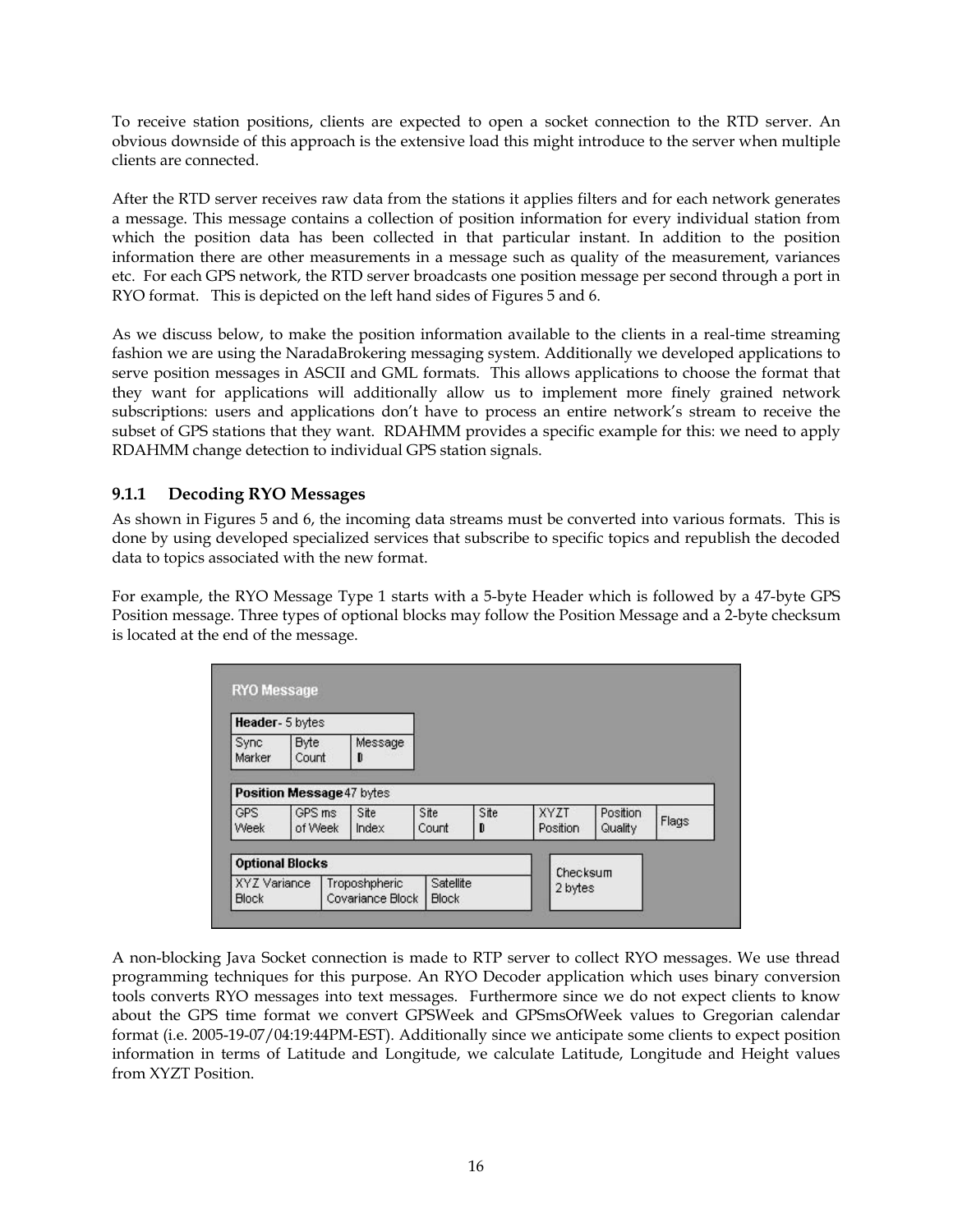To receive station positions, clients are expected to open a socket connection to the RTD server. An obvious downside of this approach is the extensive load this might introduce to the server when multiple clients are connected.

After the RTD server receives raw data from the stations it applies filters and for each network generates a message. This message contains a collection of position information for every individual station from which the position data has been collected in that particular instant. In addition to the position information there are other measurements in a message such as quality of the measurement, variances etc. For each GPS network, the RTD server broadcasts one position message per second through a port in RYO format. This is depicted on the left hand sides of Figures 5 and 6.

As we discuss below, to make the position information available to the clients in a real-time streaming fashion we are using the NaradaBrokering messaging system. Additionally we developed applications to serve position messages in ASCII and GML formats. This allows applications to choose the format that they want for applications will additionally allow us to implement more finely grained network subscriptions: users and applications don't have to process an entire network's stream to receive the subset of GPS stations that they want. RDAHMM provides a specific example for this: we need to apply RDAHMM change detection to individual GPS station signals.

#### **9.1.1 Decoding RYO Messages**

As shown in Figures 5 and 6, the incoming data streams must be converted into various formats. This is done by using developed specialized services that subscribe to specific topics and republish the decoded data to topics associated with the new format.

For example, the RYO Message Type 1 starts with a 5-byte Header which is followed by a 47-byte GPS Position message. Three types of optional blocks may follow the Position Message and a 2-byte checksum is located at the end of the message.

| Header- 5 bytes       |                                  |         |       |      |             |          |       |
|-----------------------|----------------------------------|---------|-------|------|-------------|----------|-------|
| <b>Sync</b><br>Marker | <b>Byte</b><br>Count             | Message |       |      |             |          |       |
|                       | <b>Position Message 47 bytes</b> |         |       |      |             |          |       |
|                       |                                  | Site    | Site  | Site | <b>XYZT</b> | Position |       |
|                       | GPS ms<br>of Week                | Index   | Count | D    | Position    | Quality  | Flags |
| <b>GPS</b><br>Week    | <b>Optional Blocks</b>           |         |       |      | Checksum    |          |       |

A non-blocking Java Socket connection is made to RTP server to collect RYO messages. We use thread programming techniques for this purpose. An RYO Decoder application which uses binary conversion tools converts RYO messages into text messages. Furthermore since we do not expect clients to know about the GPS time format we convert GPSWeek and GPSmsOfWeek values to Gregorian calendar format (i.e. 2005-19-07/04:19:44PM-EST). Additionally since we anticipate some clients to expect position information in terms of Latitude and Longitude, we calculate Latitude, Longitude and Height values from XYZT Position.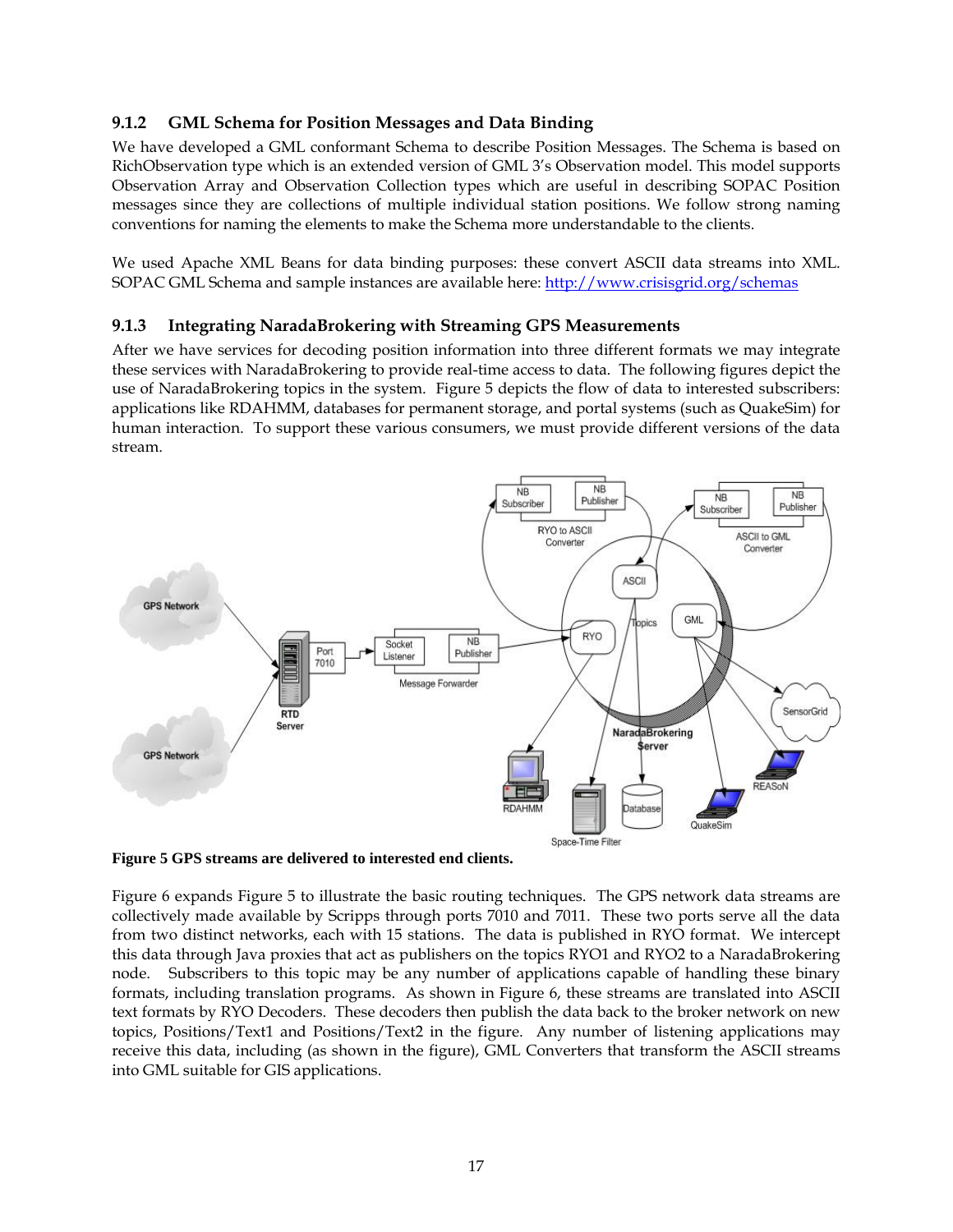#### **9.1.2 GML Schema for Position Messages and Data Binding**

We have developed a GML conformant Schema to describe Position Messages. The Schema is based on RichObservation type which is an extended version of GML 3's Observation model. This model supports Observation Array and Observation Collection types which are useful in describing SOPAC Position messages since they are collections of multiple individual station positions. We follow strong naming conventions for naming the elements to make the Schema more understandable to the clients.

We used Apache XML Beans for data binding purposes: these convert ASCII data streams into XML. SOPAC GML Schema and sample instances are available here: http://www.crisisgrid.org/schemas

#### **9.1.3 Integrating NaradaBrokering with Streaming GPS Measurements**

After we have services for decoding position information into three different formats we may integrate these services with NaradaBrokering to provide real-time access to data. The following figures depict the use of NaradaBrokering topics in the system. Figure 5 depicts the flow of data to interested subscribers: applications like RDAHMM, databases for permanent storage, and portal systems (such as QuakeSim) for human interaction. To support these various consumers, we must provide different versions of the data stream.





Figure 6 expands Figure 5 to illustrate the basic routing techniques. The GPS network data streams are collectively made available by Scripps through ports 7010 and 7011. These two ports serve all the data from two distinct networks, each with 15 stations. The data is published in RYO format. We intercept this data through Java proxies that act as publishers on the topics RYO1 and RYO2 to a NaradaBrokering node. Subscribers to this topic may be any number of applications capable of handling these binary formats, including translation programs. As shown in Figure 6, these streams are translated into ASCII text formats by RYO Decoders. These decoders then publish the data back to the broker network on new topics, Positions/Text1 and Positions/Text2 in the figure. Any number of listening applications may receive this data, including (as shown in the figure), GML Converters that transform the ASCII streams into GML suitable for GIS applications.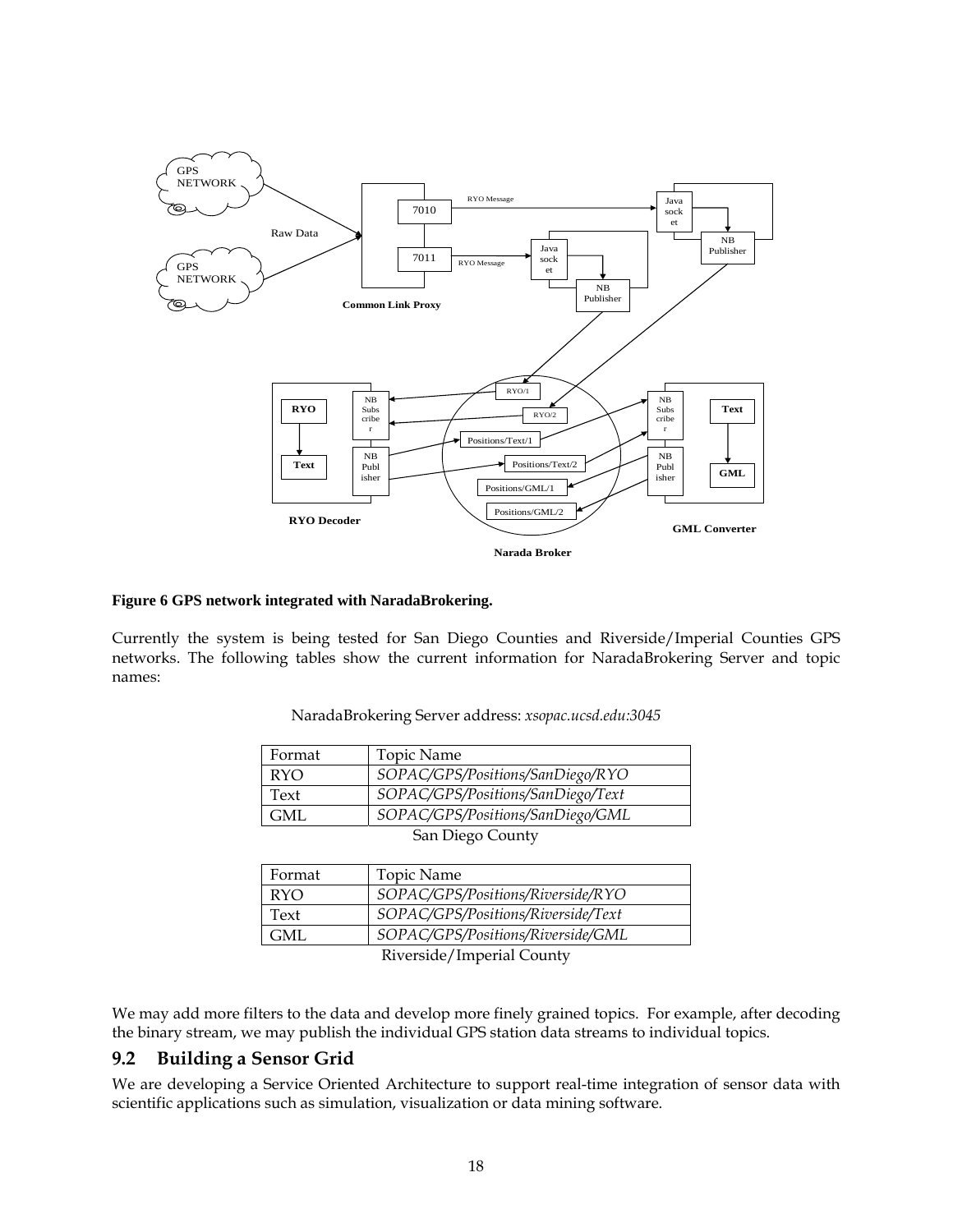

#### **Figure 6 GPS network integrated with NaradaBrokering.**

Currently the system is being tested for San Diego Counties and Riverside/Imperial Counties GPS networks. The following tables show the current information for NaradaBrokering Server and topic names:

| Format           | Topic Name                        |  |
|------------------|-----------------------------------|--|
| <b>RYO</b>       | SOPAC/GPS/Positions/SanDiego/RYO  |  |
| Text             | SOPAC/GPS/Positions/SanDiego/Text |  |
| GML              | SOPAC/GPS/Positions/SanDiego/GML  |  |
| San Diego County |                                   |  |

|  | NaradaBrokering Server address: xsopac.ucsd.edu:3045 |
|--|------------------------------------------------------|
|  |                                                      |

| Format     | Topic Name                         |
|------------|------------------------------------|
| <b>RYO</b> | SOPAC/GPS/Positions/Riverside/RYO  |
| Text       | SOPAC/GPS/Positions/Riverside/Text |
| GML        | SOPAC/GPS/Positions/Riverside/GML  |
|            | Riverside/Imperial County          |

We may add more filters to the data and develop more finely grained topics. For example, after decoding the binary stream, we may publish the individual GPS station data streams to individual topics.

#### **9.2 Building a Sensor Grid**

We are developing a Service Oriented Architecture to support real-time integration of sensor data with scientific applications such as simulation, visualization or data mining software.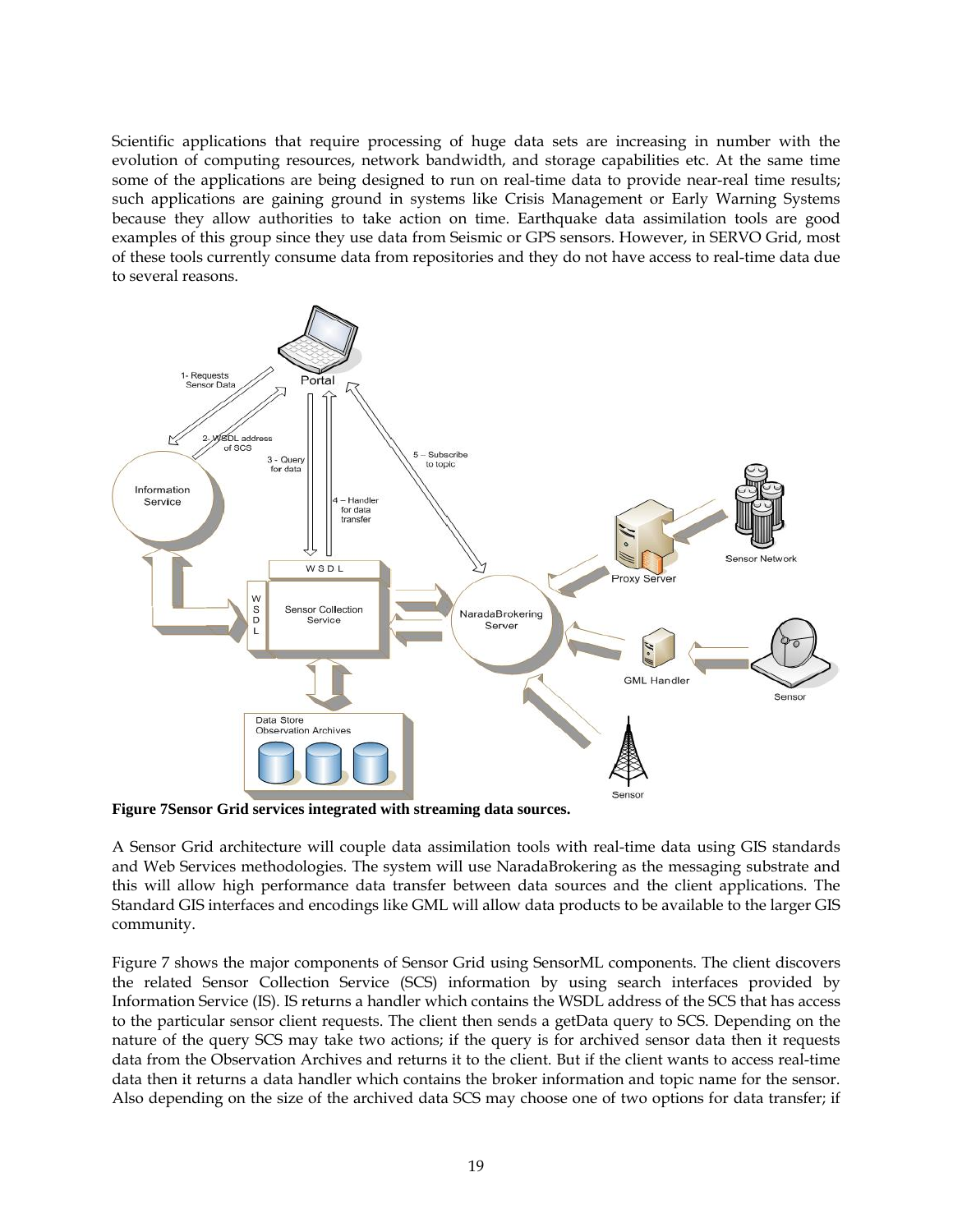Scientific applications that require processing of huge data sets are increasing in number with the evolution of computing resources, network bandwidth, and storage capabilities etc. At the same time some of the applications are being designed to run on real-time data to provide near-real time results; such applications are gaining ground in systems like Crisis Management or Early Warning Systems because they allow authorities to take action on time. Earthquake data assimilation tools are good examples of this group since they use data from Seismic or GPS sensors. However, in SERVO Grid, most of these tools currently consume data from repositories and they do not have access to real-time data due to several reasons.



**Figure 7Sensor Grid services integrated with streaming data sources.** 

A Sensor Grid architecture will couple data assimilation tools with real-time data using GIS standards and Web Services methodologies. The system will use NaradaBrokering as the messaging substrate and this will allow high performance data transfer between data sources and the client applications. The Standard GIS interfaces and encodings like GML will allow data products to be available to the larger GIS community.

Figure 7 shows the major components of Sensor Grid using SensorML components. The client discovers the related Sensor Collection Service (SCS) information by using search interfaces provided by Information Service (IS). IS returns a handler which contains the WSDL address of the SCS that has access to the particular sensor client requests. The client then sends a getData query to SCS. Depending on the nature of the query SCS may take two actions; if the query is for archived sensor data then it requests data from the Observation Archives and returns it to the client. But if the client wants to access real-time data then it returns a data handler which contains the broker information and topic name for the sensor. Also depending on the size of the archived data SCS may choose one of two options for data transfer; if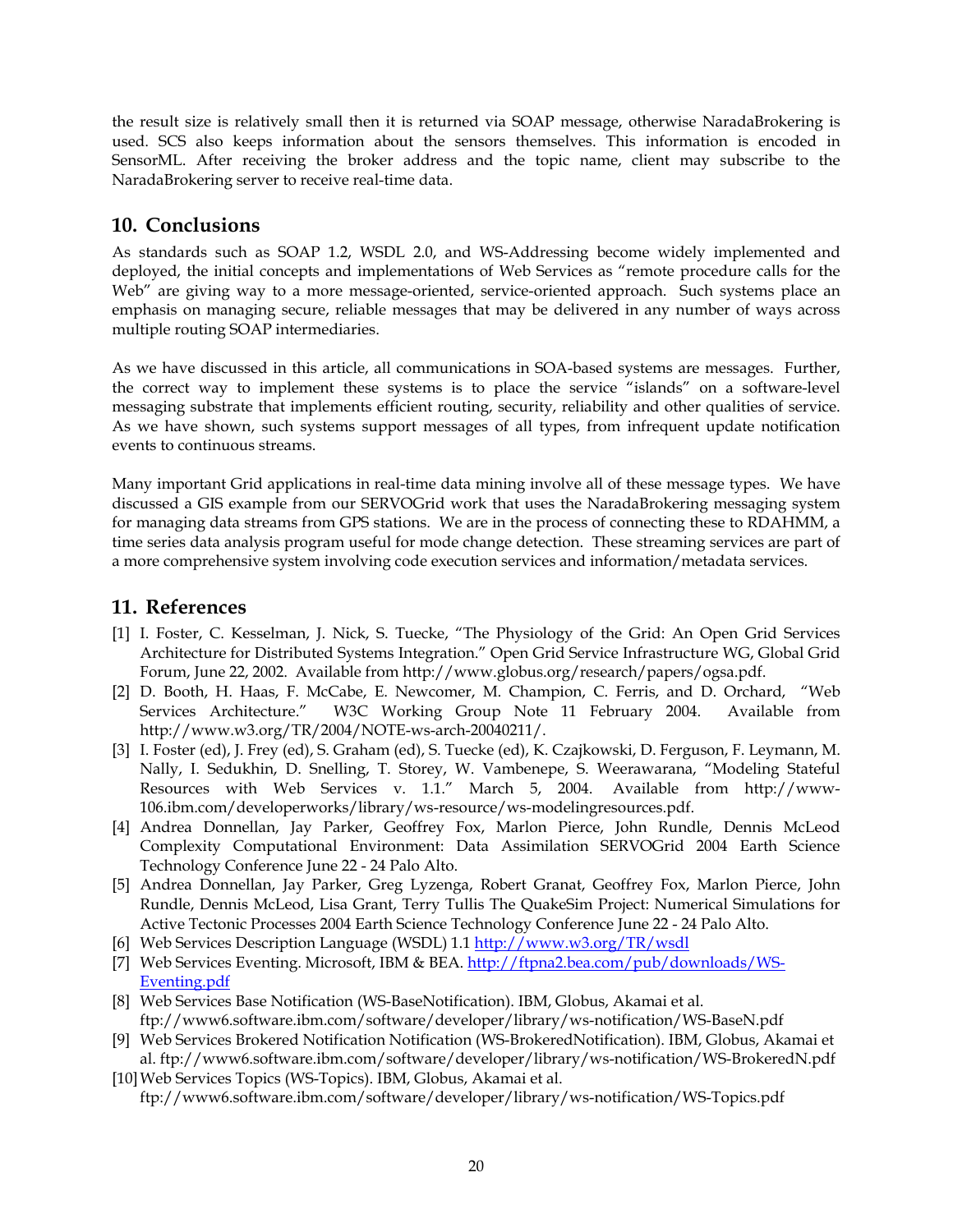the result size is relatively small then it is returned via SOAP message, otherwise NaradaBrokering is used. SCS also keeps information about the sensors themselves. This information is encoded in SensorML. After receiving the broker address and the topic name, client may subscribe to the NaradaBrokering server to receive real-time data.

### **10. Conclusions**

As standards such as SOAP 1.2, WSDL 2.0, and WS-Addressing become widely implemented and deployed, the initial concepts and implementations of Web Services as "remote procedure calls for the Web" are giving way to a more message-oriented, service-oriented approach. Such systems place an emphasis on managing secure, reliable messages that may be delivered in any number of ways across multiple routing SOAP intermediaries.

As we have discussed in this article, all communications in SOA-based systems are messages. Further, the correct way to implement these systems is to place the service "islands" on a software-level messaging substrate that implements efficient routing, security, reliability and other qualities of service. As we have shown, such systems support messages of all types, from infrequent update notification events to continuous streams.

Many important Grid applications in real-time data mining involve all of these message types. We have discussed a GIS example from our SERVOGrid work that uses the NaradaBrokering messaging system for managing data streams from GPS stations. We are in the process of connecting these to RDAHMM, a time series data analysis program useful for mode change detection. These streaming services are part of a more comprehensive system involving code execution services and information/metadata services.

### **11. References**

- [1] I. Foster, C. Kesselman, J. Nick, S. Tuecke, "The Physiology of the Grid: An Open Grid Services Architecture for Distributed Systems Integration." Open Grid Service Infrastructure WG, Global Grid Forum, June 22, 2002. Available from http://www.globus.org/research/papers/ogsa.pdf.
- [2] D. Booth, H. Haas, F. McCabe, E. Newcomer, M. Champion, C. Ferris, and D. Orchard, "Web Services Architecture." W3C Working Group Note 11 February 2004. Available from http://www.w3.org/TR/2004/NOTE-ws-arch-20040211/.
- [3] I. Foster (ed), J. Frey (ed), S. Graham (ed), S. Tuecke (ed), K. Czajkowski, D. Ferguson, F. Leymann, M. Nally, I. Sedukhin, D. Snelling, T. Storey, W. Vambenepe, S. Weerawarana, "Modeling Stateful Resources with Web Services v. 1.1." March 5, 2004. Available from http://www-106.ibm.com/developerworks/library/ws-resource/ws-modelingresources.pdf.
- [4] Andrea Donnellan, Jay Parker, Geoffrey Fox, Marlon Pierce, John Rundle, Dennis McLeod Complexity Computational Environment: Data Assimilation SERVOGrid 2004 Earth Science Technology Conference June 22 - 24 Palo Alto.
- [5] Andrea Donnellan, Jay Parker, Greg Lyzenga, Robert Granat, Geoffrey Fox, Marlon Pierce, John Rundle, Dennis McLeod, Lisa Grant, Terry Tullis The QuakeSim Project: Numerical Simulations for Active Tectonic Processes 2004 Earth Science Technology Conference June 22 - 24 Palo Alto.
- [6] Web Services Description Language (WSDL) 1.1 http://www.w3.org/TR/wsdl
- [7] Web Services Eventing. Microsoft, IBM & BEA. http://ftpna2.bea.com/pub/downloads/WS-Eventing.pdf
- [8] Web Services Base Notification (WS-BaseNotification). IBM, Globus, Akamai et al. ftp://www6.software.ibm.com/software/developer/library/ws-notification/WS-BaseN.pdf
- [9] Web Services Brokered Notification Notification (WS-BrokeredNotification). IBM, Globus, Akamai et al. ftp://www6.software.ibm.com/software/developer/library/ws-notification/WS-BrokeredN.pdf
- [10]Web Services Topics (WS-Topics). IBM, Globus, Akamai et al. ftp://www6.software.ibm.com/software/developer/library/ws-notification/WS-Topics.pdf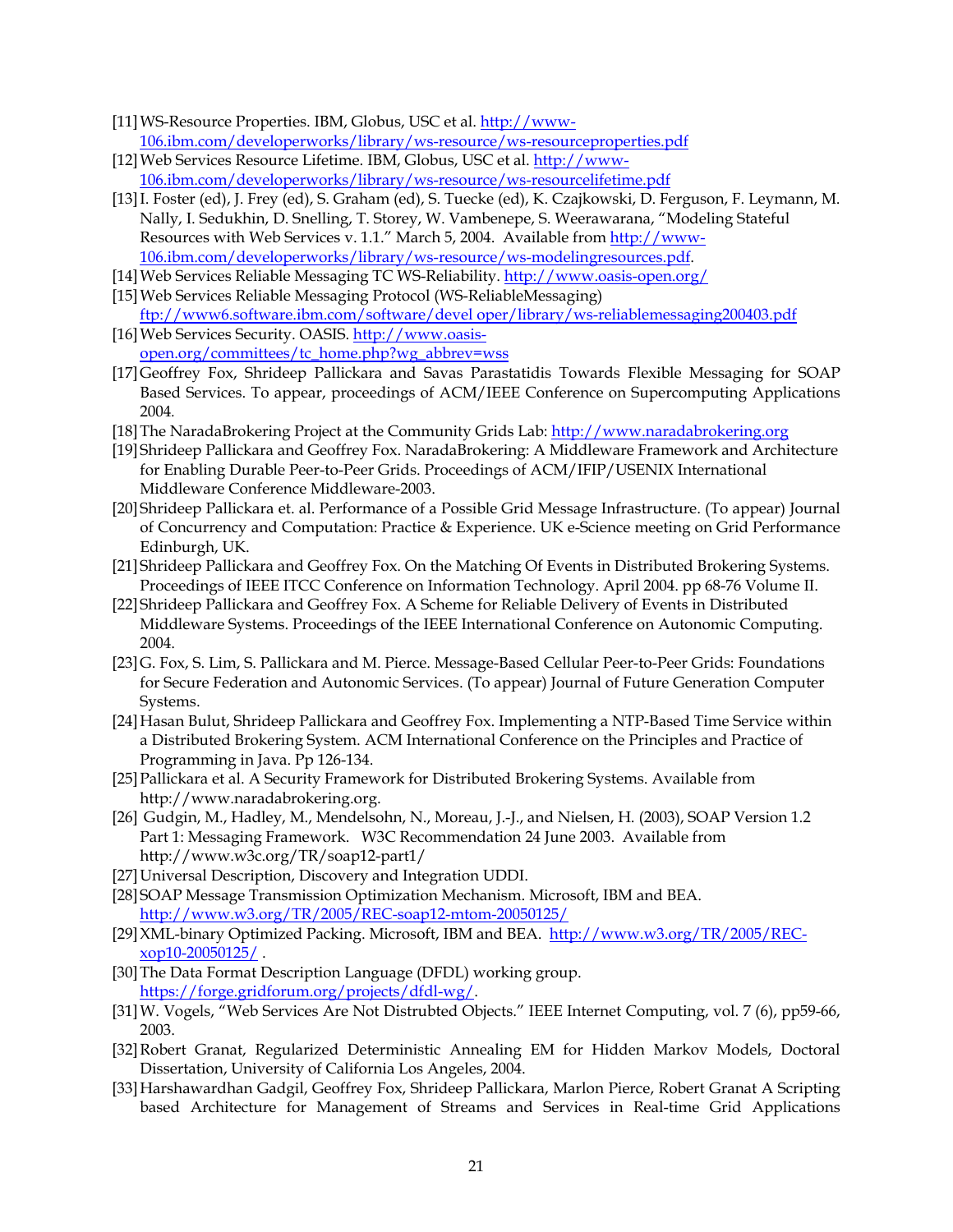- [11]WS-Resource Properties. IBM, Globus, USC et al. http://www-106.ibm.com/developerworks/library/ws-resource/ws-resourceproperties.pdf
- [12] Web Services Resource Lifetime. IBM, Globus, USC et al. http://www-106.ibm.com/developerworks/library/ws-resource/ws-resourcelifetime.pdf
- [13]I. Foster (ed), J. Frey (ed), S. Graham (ed), S. Tuecke (ed), K. Czajkowski, D. Ferguson, F. Leymann, M. Nally, I. Sedukhin, D. Snelling, T. Storey, W. Vambenepe, S. Weerawarana, "Modeling Stateful Resources with Web Services v. 1.1." March 5, 2004. Available from http://www-106.ibm.com/developerworks/library/ws-resource/ws-modelingresources.pdf.
- [14]Web Services Reliable Messaging TC WS-Reliability. http://www.oasis-open.org/
- [15]Web Services Reliable Messaging Protocol (WS-ReliableMessaging)

ftp://www6.software.ibm.com/software/devel oper/library/ws-reliablemessaging200403.pdf [16] Web Services Security. OASIS. http://www.oasis-

- open.org/committees/tc\_home.php?wg\_abbrev=wss
- [17]Geoffrey Fox, Shrideep Pallickara and Savas Parastatidis Towards Flexible Messaging for SOAP Based Services. To appear, proceedings of ACM/IEEE Conference on Supercomputing Applications 2004*.*
- [18]The NaradaBrokering Project at the Community Grids Lab: http://www.naradabrokering.org
- [19]Shrideep Pallickara and Geoffrey Fox. NaradaBrokering: A Middleware Framework and Architecture for Enabling Durable Peer-to-Peer Grids. Proceedings of ACM/IFIP/USENIX International Middleware Conference Middleware-2003.
- [20]Shrideep Pallickara et. al. Performance of a Possible Grid Message Infrastructure. (To appear) Journal of Concurrency and Computation: Practice & Experience. UK e-Science meeting on Grid Performance Edinburgh, UK.
- [21]Shrideep Pallickara and Geoffrey Fox. On the Matching Of Events in Distributed Brokering Systems. Proceedings of IEEE ITCC Conference on Information Technology. April 2004. pp 68-76 Volume II.
- [22]Shrideep Pallickara and Geoffrey Fox. A Scheme for Reliable Delivery of Events in Distributed Middleware Systems. Proceedings of the IEEE International Conference on Autonomic Computing. 2004.
- [23]G. Fox, S. Lim, S. Pallickara and M. Pierce. Message-Based Cellular Peer-to-Peer Grids: Foundations for Secure Federation and Autonomic Services. (To appear) Journal of Future Generation Computer Systems.
- [24]Hasan Bulut, Shrideep Pallickara and Geoffrey Fox. Implementing a NTP-Based Time Service within a Distributed Brokering System. ACM International Conference on the Principles and Practice of Programming in Java. Pp 126-134.
- [25]Pallickara et al. A Security Framework for Distributed Brokering Systems. Available from http://www.naradabrokering.org.
- [26] Gudgin, M., Hadley, M., Mendelsohn, N., Moreau, J.-J., and Nielsen, H. (2003), SOAP Version 1.2 Part 1: Messaging Framework. W3C Recommendation 24 June 2003. Available from http://www.w3c.org/TR/soap12-part1/
- [27]Universal Description, Discovery and Integration UDDI.
- [28]SOAP Message Transmission Optimization Mechanism. Microsoft, IBM and BEA. http://www.w3.org/TR/2005/REC-soap12-mtom-20050125/
- [29]XML-binary Optimized Packing. Microsoft, IBM and BEA. http://www.w3.org/TR/2005/RECxop10-20050125/ .
- [30] The Data Format Description Language (DFDL) working group. https://forge.gridforum.org/projects/dfdl-wg/.
- [31]W. Vogels, "Web Services Are Not Distrubted Objects." IEEE Internet Computing, vol. 7 (6), pp59-66, 2003.
- [32]Robert Granat, Regularized Deterministic Annealing EM for Hidden Markov Models, Doctoral Dissertation, University of California Los Angeles, 2004.
- [33]Harshawardhan Gadgil, Geoffrey Fox, Shrideep Pallickara, Marlon Pierce, Robert Granat A Scripting based Architecture for Management of Streams and Services in Real-time Grid Applications